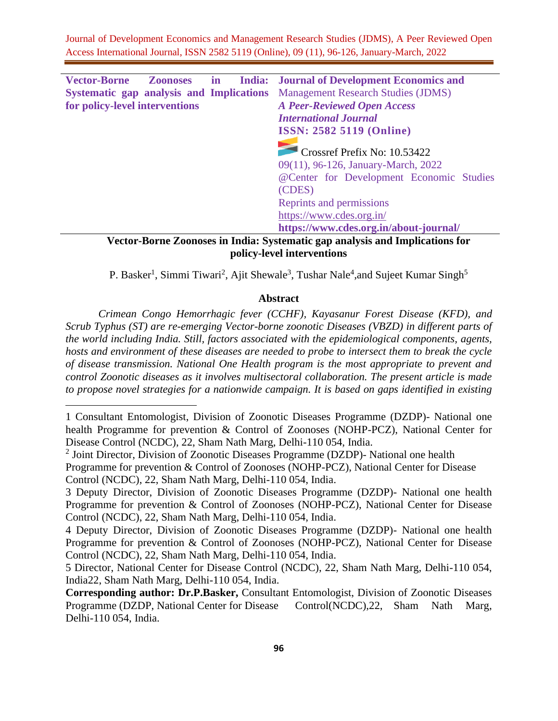| <b>Vector-Borne</b>                      | <b>Zoonoses</b> | $\mathbf{in}$ | <b>India:</b> Journal of Development Economics and                           |
|------------------------------------------|-----------------|---------------|------------------------------------------------------------------------------|
| Systematic gap analysis and Implications |                 |               | <b>Management Research Studies (JDMS)</b>                                    |
| for policy-level interventions           |                 |               | <b>A Peer-Reviewed Open Access</b>                                           |
|                                          |                 |               | <b>International Journal</b>                                                 |
|                                          |                 |               | <b>ISSN: 2582 5119 (Online)</b>                                              |
|                                          |                 |               |                                                                              |
|                                          |                 |               | Crossref Prefix No: 10.53422                                                 |
|                                          |                 |               | 09(11), 96-126, January-March, 2022                                          |
|                                          |                 |               | @Center for Development Economic Studies                                     |
|                                          |                 |               | (CDES)                                                                       |
|                                          |                 |               | Reprints and permissions                                                     |
|                                          |                 |               | https://www.cdes.org.in/                                                     |
|                                          |                 |               | https://www.cdes.org.in/about-journal/                                       |
|                                          |                 |               | Vector-Rorne Zoonoses in India: Systematic gan analysis and Implications for |

**Vector-Borne Zoonoses in India: Systematic gap analysis and Implications for policy-level interventions**

P. Basker<sup>1</sup>, Simmi Tiwari<sup>2</sup>, Ajit Shewale<sup>3</sup>, Tushar Nale<sup>4</sup>,and Sujeet Kumar Singh<sup>5</sup>

### **Abstract**

*Crimean Congo Hemorrhagic fever (CCHF), Kayasanur Forest Disease (KFD), and Scrub Typhus (ST) are re-emerging Vector-borne zoonotic Diseases (VBZD) in different parts of the world including India. Still, factors associated with the epidemiological components, agents, hosts and environment of these diseases are needed to probe to intersect them to break the cycle of disease transmission. National One Health program is the most appropriate to prevent and control Zoonotic diseases as it involves multisectoral collaboration. The present article is made to propose novel strategies for a nationwide campaign. It is based on gaps identified in existing* 

<sup>1</sup> Consultant Entomologist, Division of Zoonotic Diseases Programme (DZDP)- National one health Programme for prevention & Control of Zoonoses (NOHP-PCZ), National Center for Disease Control (NCDC), 22, Sham Nath Marg, Delhi-110 054, India.

<sup>&</sup>lt;sup>2</sup> Joint Director, Division of Zoonotic Diseases Programme (DZDP)- National one health Programme for prevention & Control of Zoonoses (NOHP-PCZ), National Center for Disease Control (NCDC), 22, Sham Nath Marg, Delhi-110 054, India.

<sup>3</sup> Deputy Director, Division of Zoonotic Diseases Programme (DZDP)- National one health Programme for prevention & Control of Zoonoses (NOHP-PCZ), National Center for Disease Control (NCDC), 22, Sham Nath Marg, Delhi-110 054, India.

<sup>4</sup> Deputy Director, Division of Zoonotic Diseases Programme (DZDP)- National one health Programme for prevention & Control of Zoonoses (NOHP-PCZ), National Center for Disease Control (NCDC), 22, Sham Nath Marg, Delhi-110 054, India.

<sup>5</sup> Director, National Center for Disease Control (NCDC), 22, Sham Nath Marg, Delhi-110 054, India22, Sham Nath Marg, Delhi-110 054, India.

**Corresponding author: Dr.P.Basker,** Consultant Entomologist, Division of Zoonotic Diseases Programme (DZDP, National Center for Disease Control(NCDC),22, Sham Nath Marg, Delhi-110 054, India.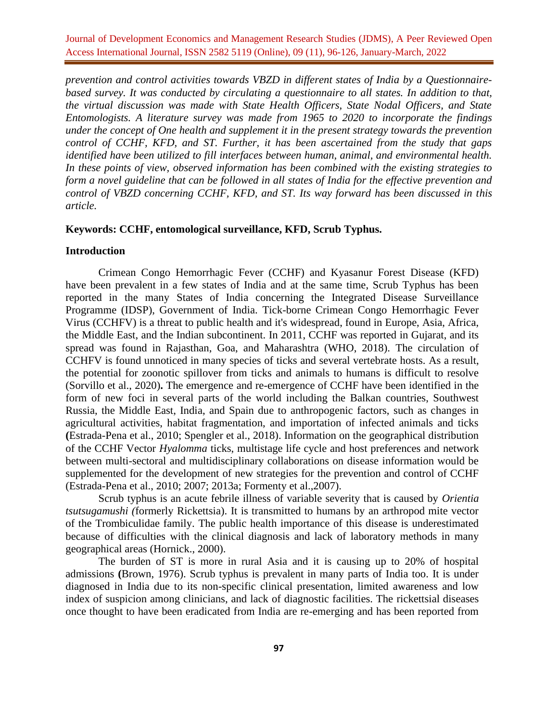*prevention and control activities towards VBZD in different states of India by a Questionnairebased survey. It was conducted by circulating a questionnaire to all states. In addition to that, the virtual discussion was made with State Health Officers, State Nodal Officers, and State Entomologists. A literature survey was made from 1965 to 2020 to incorporate the findings under the concept of One health and supplement it in the present strategy towards the prevention control of CCHF, KFD, and ST. Further, it has been ascertained from the study that gaps identified have been utilized to fill interfaces between human, animal, and environmental health. In these points of view, observed information has been combined with the existing strategies to form a novel guideline that can be followed in all states of India for the effective prevention and control of VBZD concerning CCHF, KFD, and ST. Its way forward has been discussed in this article.* 

#### **Keywords: CCHF, entomological surveillance, KFD, Scrub Typhus.**

#### **Introduction**

Crimean Congo Hemorrhagic Fever (CCHF) and Kyasanur Forest Disease (KFD) have been prevalent in a few states of India and at the same time, Scrub Typhus has been reported in the many States of India concerning the Integrated Disease Surveillance Programme (IDSP), Government of India. Tick-borne Crimean Congo Hemorrhagic Fever Virus (CCHFV) is a threat to public health and it's widespread, found in Europe, Asia, Africa, the Middle East, and the Indian subcontinent. In 2011, CCHF was reported in Gujarat, and its spread was found in Rajasthan, Goa, and Maharashtra (WHO, 2018). The circulation of CCHFV is found unnoticed in many species of ticks and several vertebrate hosts. As a result, the potential for zoonotic spillover from ticks and animals to humans is difficult to resolve (Sorvillo et al., 2020)**.** The emergence and re-emergence of CCHF have been identified in the form of new foci in several parts of the world including the Balkan countries, Southwest Russia, the Middle East, India, and Spain due to anthropogenic factors, such as changes in agricultural activities, habitat fragmentation, and importation of infected animals and ticks **(**Estrada-Pena et al., 2010; Spengler et al., 2018). Information on the geographical distribution of the CCHF Vector *Hyalomma* ticks, multistage life cycle and host preferences and network between multi-sectoral and multidisciplinary collaborations on disease information would be supplemented for the development of new strategies for the prevention and control of CCHF (Estrada-Pena et al., 2010; 2007; 2013a; Formenty et al.,2007).

Scrub typhus is an acute febrile illness of variable severity that is caused by *Orientia tsutsugamushi (*formerly Rickettsia). It is transmitted to humans by an arthropod mite vector of the Trombiculidae family. The public health importance of this disease is underestimated because of difficulties with the clinical diagnosis and lack of laboratory methods in many geographical areas (Hornick., 2000).

The burden of ST is more in rural Asia and it is causing up to 20% of hospital admissions **(**Brown, 1976). Scrub typhus is prevalent in many parts of India too. It is under diagnosed in India due to its non-specific clinical presentation, limited awareness and low index of suspicion among clinicians, and lack of diagnostic facilities. The rickettsial diseases once thought to have been eradicated from India are re-emerging and has been reported from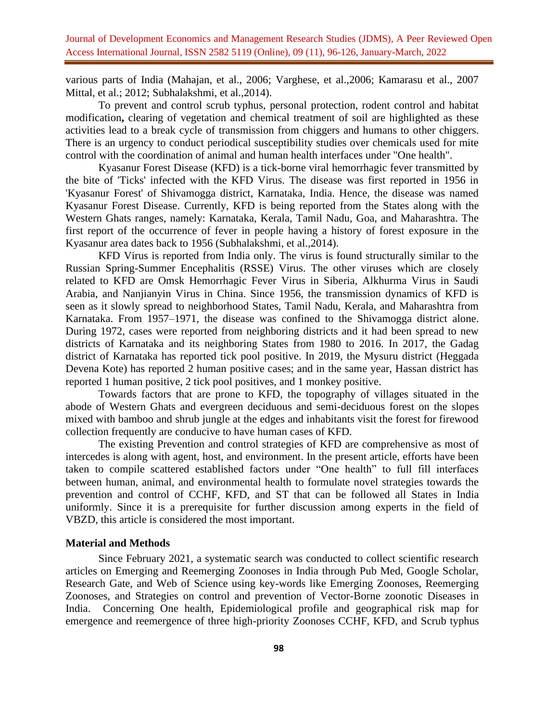various parts of India (Mahajan, et al., 2006; Varghese, et al.,2006; Kamarasu et al., 2007 Mittal, et al.; 2012; Subhalakshmi, et al.,2014).

To prevent and control scrub typhus, personal protection, rodent control and habitat modification**,** clearing of vegetation and chemical treatment of soil are highlighted as these activities lead to a break cycle of transmission from chiggers and humans to other chiggers. There is an urgency to conduct periodical susceptibility studies over chemicals used for mite control with the coordination of animal and human health interfaces under "One health".

Kyasanur Forest Disease (KFD) is a tick-borne viral hemorrhagic fever transmitted by the bite of 'Ticks' infected with the KFD Virus. The disease was first reported in 1956 in 'Kyasanur Forest' of Shivamogga district, Karnataka, India. Hence, the disease was named Kyasanur Forest Disease. Currently, KFD is being reported from the States along with the Western Ghats ranges, namely: Karnataka, Kerala, Tamil Nadu, Goa, and Maharashtra. The first report of the occurrence of fever in people having a history of forest exposure in the Kyasanur area dates back to 1956 (Subhalakshmi, et al.,2014).

KFD Virus is reported from India only. The virus is found structurally similar to the Russian Spring-Summer Encephalitis (RSSE) Virus. The other viruses which are closely related to KFD are Omsk Hemorrhagic Fever Virus in Siberia, Alkhurma Virus in Saudi Arabia, and Nanjianyin Virus in China. Since 1956, the transmission dynamics of KFD is seen as it slowly spread to neighborhood States, Tamil Nadu, Kerala, and Maharashtra from Karnataka. From 1957–1971, the disease was confined to the Shivamogga district alone. During 1972, cases were reported from neighboring districts and it had been spread to new districts of Karnataka and its neighboring States from 1980 to 2016. In 2017, the Gadag district of Karnataka has reported tick pool positive. In 2019, the Mysuru district (Heggada Devena Kote) has reported 2 human positive cases; and in the same year, Hassan district has reported 1 human positive, 2 tick pool positives, and 1 monkey positive.

Towards factors that are prone to KFD, the topography of villages situated in the abode of Western Ghats and evergreen deciduous and semi-deciduous forest on the slopes mixed with bamboo and shrub jungle at the edges and inhabitants visit the forest for firewood collection frequently are conducive to have human cases of KFD.

The existing Prevention and control strategies of KFD are comprehensive as most of intercedes is along with agent, host, and environment. In the present article, efforts have been taken to compile scattered established factors under "One health" to full fill interfaces between human, animal, and environmental health to formulate novel strategies towards the prevention and control of CCHF, KFD, and ST that can be followed all States in India uniformly. Since it is a prerequisite for further discussion among experts in the field of VBZD, this article is considered the most important.

#### **Material and Methods**

Since February 2021, a systematic search was conducted to collect scientific research articles on Emerging and Reemerging Zoonoses in India through Pub Med, Google Scholar, Research Gate, and Web of Science using key-words like Emerging Zoonoses, Reemerging Zoonoses, and Strategies on control and prevention of Vector-Borne zoonotic Diseases in India. Concerning One health, Epidemiological profile and geographical risk map for emergence and reemergence of three high-priority Zoonoses CCHF, KFD, and Scrub typhus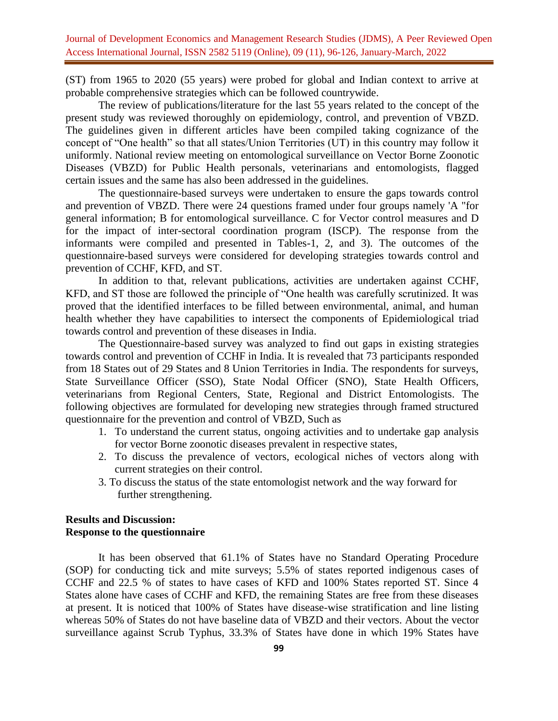(ST) from 1965 to 2020 (55 years) were probed for global and Indian context to arrive at probable comprehensive strategies which can be followed countrywide.

The review of publications/literature for the last 55 years related to the concept of the present study was reviewed thoroughly on epidemiology, control, and prevention of VBZD. The guidelines given in different articles have been compiled taking cognizance of the concept of "One health" so that all states/Union Territories (UT) in this country may follow it uniformly. National review meeting on entomological surveillance on Vector Borne Zoonotic Diseases (VBZD) for Public Health personals, veterinarians and entomologists, flagged certain issues and the same has also been addressed in the guidelines.

The questionnaire-based surveys were undertaken to ensure the gaps towards control and prevention of VBZD. There were 24 questions framed under four groups namely 'A "for general information; B for entomological surveillance. C for Vector control measures and D for the impact of inter-sectoral coordination program (ISCP). The response from the informants were compiled and presented in Tables-1, 2, and 3). The outcomes of the questionnaire-based surveys were considered for developing strategies towards control and prevention of CCHF, KFD, and ST.

In addition to that, relevant publications, activities are undertaken against CCHF, KFD, and ST those are followed the principle of "One health was carefully scrutinized. It was proved that the identified interfaces to be filled between environmental, animal, and human health whether they have capabilities to intersect the components of Epidemiological triad towards control and prevention of these diseases in India.

The Questionnaire-based survey was analyzed to find out gaps in existing strategies towards control and prevention of CCHF in India. It is revealed that 73 participants responded from 18 States out of 29 States and 8 Union Territories in India. The respondents for surveys, State Surveillance Officer (SSO), State Nodal Officer (SNO), State Health Officers, veterinarians from Regional Centers, State, Regional and District Entomologists. The following objectives are formulated for developing new strategies through framed structured questionnaire for the prevention and control of VBZD, Such as

- 1. To understand the current status, ongoing activities and to undertake gap analysis for vector Borne zoonotic diseases prevalent in respective states,
- 2. To discuss the prevalence of vectors, ecological niches of vectors along with current strategies on their control.
- 3. To discuss the status of the state entomologist network and the way forward for further strengthening.

## **Results and Discussion: Response to the questionnaire**

It has been observed that 61.1% of States have no Standard Operating Procedure (SOP) for conducting tick and mite surveys; 5.5% of states reported indigenous cases of CCHF and 22.5 % of states to have cases of KFD and 100% States reported ST. Since 4 States alone have cases of CCHF and KFD, the remaining States are free from these diseases at present. It is noticed that 100% of States have disease-wise stratification and line listing whereas 50% of States do not have baseline data of VBZD and their vectors. About the vector surveillance against Scrub Typhus, 33.3% of States have done in which 19% States have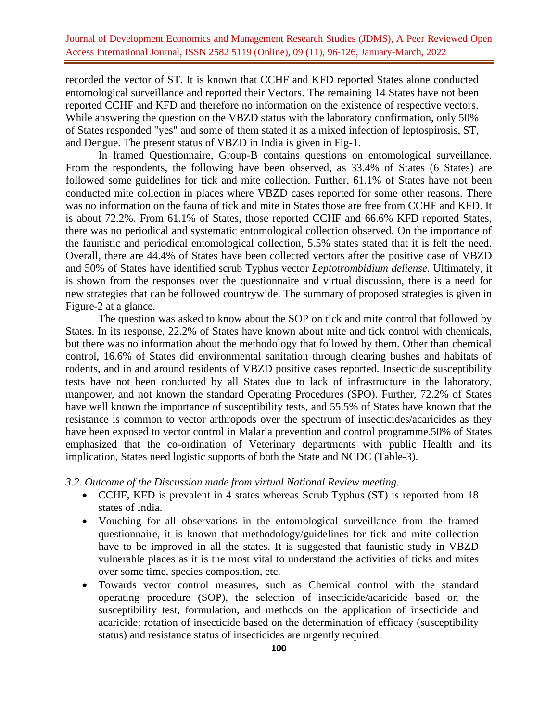recorded the vector of ST. It is known that CCHF and KFD reported States alone conducted entomological surveillance and reported their Vectors. The remaining 14 States have not been reported CCHF and KFD and therefore no information on the existence of respective vectors. While answering the question on the VBZD status with the laboratory confirmation, only 50% of States responded "yes" and some of them stated it as a mixed infection of leptospirosis, ST, and Dengue. The present status of VBZD in India is given in Fig-1.

In framed Questionnaire, Group-B contains questions on entomological surveillance. From the respondents, the following have been observed, as 33.4% of States (6 States) are followed some guidelines for tick and mite collection. Further, 61.1% of States have not been conducted mite collection in places where VBZD cases reported for some other reasons. There was no information on the fauna of tick and mite in States those are free from CCHF and KFD. It is about 72.2%. From 61.1% of States, those reported CCHF and 66.6% KFD reported States, there was no periodical and systematic entomological collection observed. On the importance of the faunistic and periodical entomological collection, 5.5% states stated that it is felt the need. Overall, there are 44.4% of States have been collected vectors after the positive case of VBZD and 50% of States have identified scrub Typhus vector *Leptotrombidium deliense*. Ultimately, it is shown from the responses over the questionnaire and virtual discussion, there is a need for new strategies that can be followed countrywide. The summary of proposed strategies is given in Figure-2 at a glance.

The question was asked to know about the SOP on tick and mite control that followed by States. In its response, 22.2% of States have known about mite and tick control with chemicals, but there was no information about the methodology that followed by them. Other than chemical control, 16.6% of States did environmental sanitation through clearing bushes and habitats of rodents, and in and around residents of VBZD positive cases reported. Insecticide susceptibility tests have not been conducted by all States due to lack of infrastructure in the laboratory, manpower, and not known the standard Operating Procedures (SPO). Further, 72.2% of States have well known the importance of susceptibility tests, and 55.5% of States have known that the resistance is common to vector arthropods over the spectrum of insecticides/acaricides as they have been exposed to vector control in Malaria prevention and control programme.50% of States emphasized that the co-ordination of Veterinary departments with public Health and its implication, States need logistic supports of both the State and NCDC (Table-3).

## *3.2. Outcome of the Discussion made from virtual National Review meeting.*

- CCHF, KFD is prevalent in 4 states whereas Scrub Typhus (ST) is reported from 18 states of India.
- Vouching for all observations in the entomological surveillance from the framed questionnaire, it is known that methodology/guidelines for tick and mite collection have to be improved in all the states. It is suggested that faunistic study in VBZD vulnerable places as it is the most vital to understand the activities of ticks and mites over some time, species composition, etc.
- Towards vector control measures, such as Chemical control with the standard operating procedure (SOP), the selection of insecticide/acaricide based on the susceptibility test, formulation, and methods on the application of insecticide and acaricide; rotation of insecticide based on the determination of efficacy (susceptibility status) and resistance status of insecticides are urgently required.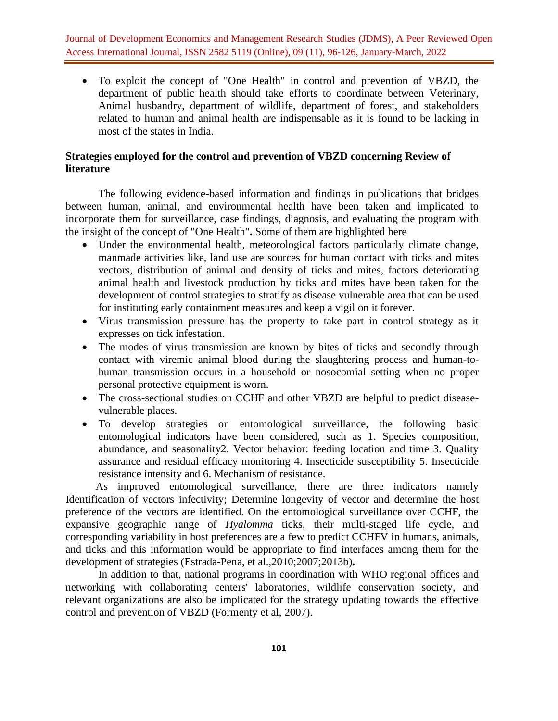• To exploit the concept of "One Health" in control and prevention of VBZD, the department of public health should take efforts to coordinate between Veterinary, Animal husbandry, department of wildlife, department of forest, and stakeholders related to human and animal health are indispensable as it is found to be lacking in most of the states in India.

## **Strategies employed for the control and prevention of VBZD concerning Review of literature**

The following evidence-based information and findings in publications that bridges between human, animal, and environmental health have been taken and implicated to incorporate them for surveillance, case findings, diagnosis, and evaluating the program with the insight of the concept of "One Health"**.** Some of them are highlighted here

- Under the environmental health, meteorological factors particularly climate change, manmade activities like, land use are sources for human contact with ticks and mites vectors, distribution of animal and density of ticks and mites, factors deteriorating animal health and livestock production by ticks and mites have been taken for the development of control strategies to stratify as disease vulnerable area that can be used for instituting early containment measures and keep a vigil on it forever.
- Virus transmission pressure has the property to take part in control strategy as it expresses on tick infestation.
- The modes of virus transmission are known by bites of ticks and secondly through contact with viremic animal blood during the slaughtering process and human-tohuman transmission occurs in a household or nosocomial setting when no proper personal protective equipment is worn.
- The cross-sectional studies on CCHF and other VBZD are helpful to predict diseasevulnerable places.
- To develop strategies on entomological surveillance, the following basic entomological indicators have been considered, such as 1. Species composition, abundance, and seasonality2. Vector behavior: feeding location and time 3. Quality assurance and residual efficacy monitoring 4. Insecticide susceptibility 5. Insecticide resistance intensity and 6. Mechanism of resistance.

 As improved entomological surveillance, there are three indicators namely Identification of vectors infectivity; Determine longevity of vector and determine the host preference of the vectors are identified. On the entomological surveillance over CCHF, the expansive geographic range of *Hyalomma* ticks, their multi-staged life cycle, and corresponding variability in host preferences are a few to predict CCHFV in humans, animals, and ticks and this information would be appropriate to find interfaces among them for the development of strategies (Estrada-Pena, et al.,2010;2007;2013b)**.**

In addition to that, national programs in coordination with WHO regional offices and networking with collaborating centers' laboratories, wildlife conservation society, and relevant organizations are also be implicated for the strategy updating towards the effective control and prevention of VBZD (Formenty et al, 2007).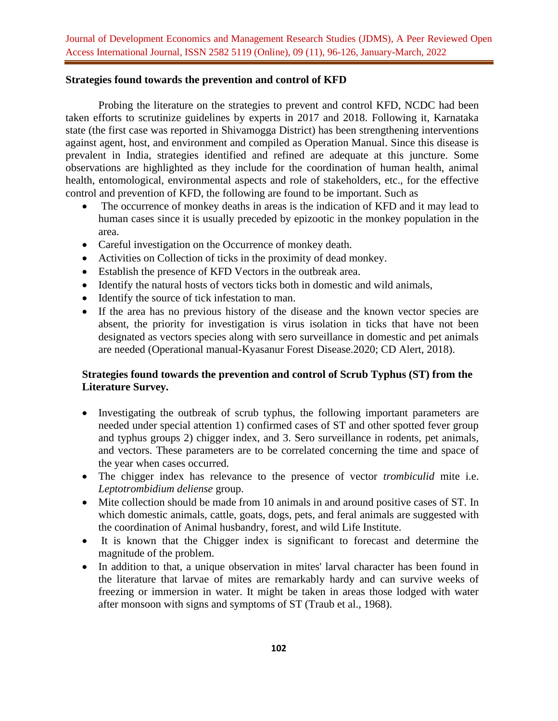## **Strategies found towards the prevention and control of KFD**

Probing the literature on the strategies to prevent and control KFD, NCDC had been taken efforts to scrutinize guidelines by experts in 2017 and 2018. Following it, Karnataka state (the first case was reported in Shivamogga District) has been strengthening interventions against agent, host, and environment and compiled as Operation Manual. Since this disease is prevalent in India, strategies identified and refined are adequate at this juncture. Some observations are highlighted as they include for the coordination of human health, animal health, entomological, environmental aspects and role of stakeholders, etc., for the effective control and prevention of KFD, the following are found to be important. Such as

- The occurrence of monkey deaths in areas is the indication of KFD and it may lead to human cases since it is usually preceded by epizootic in the monkey population in the area.
- Careful investigation on the Occurrence of monkey death.
- Activities on Collection of ticks in the proximity of dead monkey.
- Establish the presence of KFD Vectors in the outbreak area.
- Identify the natural hosts of vectors ticks both in domestic and wild animals,
- Identify the source of tick infestation to man.
- If the area has no previous history of the disease and the known vector species are absent, the priority for investigation is virus isolation in ticks that have not been designated as vectors species along with sero surveillance in domestic and pet animals are needed (Operational manual-Kyasanur Forest Disease.2020; CD Alert, 2018).

# **Strategies found towards the prevention and control of Scrub Typhus (ST) from the Literature Survey.**

- Investigating the outbreak of scrub typhus, the following important parameters are needed under special attention 1) confirmed cases of ST and other spotted fever group and typhus groups 2) chigger index, and 3. Sero surveillance in rodents, pet animals, and vectors. These parameters are to be correlated concerning the time and space of the year when cases occurred.
- The chigger index has relevance to the presence of vector *trombiculid* mite i.e. *Leptotrombidium deliense* group.
- Mite collection should be made from 10 animals in and around positive cases of ST. In which domestic animals, cattle, goats, dogs, pets, and feral animals are suggested with the coordination of Animal husbandry, forest, and wild Life Institute.
- It is known that the Chigger index is significant to forecast and determine the magnitude of the problem.
- In addition to that, a unique observation in mites' larval character has been found in the literature that larvae of mites are remarkably hardy and can survive weeks of freezing or immersion in water. It might be taken in areas those lodged with water after monsoon with signs and symptoms of ST (Traub et al., 1968).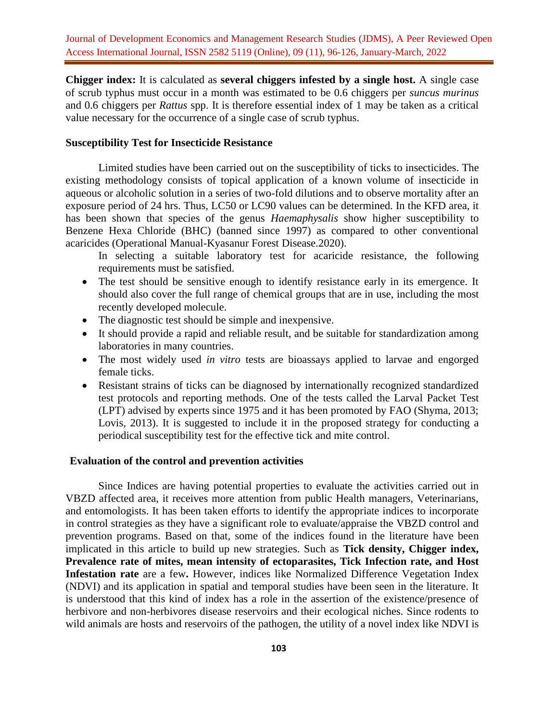**Chigger index:** It is calculated as **several chiggers infested by a single host.** A single case of scrub typhus must occur in a month was estimated to be 0.6 chiggers per *suncus murinus* and 0.6 chiggers per *Rattus* spp. It is therefore essential index of 1 may be taken as a critical value necessary for the occurrence of a single case of scrub typhus.

## **Susceptibility Test for Insecticide Resistance**

Limited studies have been carried out on the susceptibility of ticks to insecticides. The existing methodology consists of topical application of a known volume of insecticide in aqueous or alcoholic solution in a series of two-fold dilutions and to observe mortality after an exposure period of 24 hrs. Thus, LC50 or LC90 values can be determined. In the KFD area, it has been shown that species of the genus *Haemaphysalis* show higher susceptibility to Benzene Hexa Chloride (BHC) (banned since 1997) as compared to other conventional acaricides (Operational Manual-Kyasanur Forest Disease.2020).

In selecting a suitable laboratory test for acaricide resistance, the following requirements must be satisfied.

- The test should be sensitive enough to identify resistance early in its emergence. It should also cover the full range of chemical groups that are in use, including the most recently developed molecule.
- The diagnostic test should be simple and inexpensive.
- It should provide a rapid and reliable result, and be suitable for standardization among laboratories in many countries.
- The most widely used *in vitro* tests are bioassays applied to larvae and engorged female ticks.
- Resistant strains of ticks can be diagnosed by internationally recognized standardized test protocols and reporting methods. One of the tests called the Larval Packet Test (LPT) advised by experts since 1975 and it has been promoted by FAO (Shyma, 2013; Lovis, 2013). It is suggested to include it in the proposed strategy for conducting a periodical susceptibility test for the effective tick and mite control.

#### **Evaluation of the control and prevention activities**

Since Indices are having potential properties to evaluate the activities carried out in VBZD affected area, it receives more attention from public Health managers, Veterinarians, and entomologists. It has been taken efforts to identify the appropriate indices to incorporate in control strategies as they have a significant role to evaluate/appraise the VBZD control and prevention programs. Based on that, some of the indices found in the literature have been implicated in this article to build up new strategies. Such as **Tick density, Chigger index, Prevalence rate of mites, mean intensity of ectoparasites, Tick Infection rate, and Host Infestation rate** are a few**.** However, indices like Normalized Difference Vegetation Index (NDVI) and its application in spatial and temporal studies have been seen in the literature. It is understood that this kind of index has a role in the assertion of the existence/presence of herbivore and non-herbivores disease reservoirs and their ecological niches. Since rodents to wild animals are hosts and reservoirs of the pathogen, the utility of a novel index like NDVI is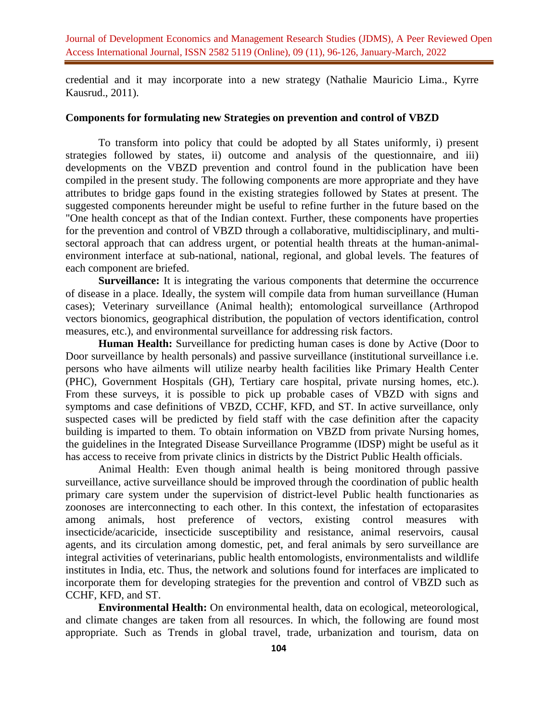credential and it may incorporate into a new strategy (Nathalie Mauricio Lima., Kyrre Kausrud., 2011).

#### **Components for formulating new Strategies on prevention and control of VBZD**

To transform into policy that could be adopted by all States uniformly, i) present strategies followed by states, ii) outcome and analysis of the questionnaire, and iii) developments on the VBZD prevention and control found in the publication have been compiled in the present study. The following components are more appropriate and they have attributes to bridge gaps found in the existing strategies followed by States at present. The suggested components hereunder might be useful to refine further in the future based on the "One health concept as that of the Indian context. Further, these components have properties for the prevention and control of VBZD through a collaborative, multidisciplinary, and multisectoral approach that can address urgent, or potential health threats at the human-animalenvironment interface at sub-national, national, regional, and global levels. The features of each component are briefed.

**Surveillance:** It is integrating the various components that determine the occurrence of disease in a place. Ideally, the system will compile data from human surveillance (Human cases); Veterinary surveillance (Animal health); entomological surveillance (Arthropod vectors bionomics, geographical distribution, the population of vectors identification, control measures, etc.), and environmental surveillance for addressing risk factors.

**Human Health:** Surveillance for predicting human cases is done by Active (Door to Door surveillance by health personals) and passive surveillance (institutional surveillance i.e. persons who have ailments will utilize nearby health facilities like Primary Health Center (PHC), Government Hospitals (GH), Tertiary care hospital, private nursing homes, etc.). From these surveys, it is possible to pick up probable cases of VBZD with signs and symptoms and case definitions of VBZD, CCHF, KFD, and ST. In active surveillance, only suspected cases will be predicted by field staff with the case definition after the capacity building is imparted to them. To obtain information on VBZD from private Nursing homes, the guidelines in the Integrated Disease Surveillance Programme (IDSP) might be useful as it has access to receive from private clinics in districts by the District Public Health officials.

Animal Health: Even though animal health is being monitored through passive surveillance, active surveillance should be improved through the coordination of public health primary care system under the supervision of district-level Public health functionaries as zoonoses are interconnecting to each other. In this context, the infestation of ectoparasites among animals, host preference of vectors, existing control measures with insecticide/acaricide, insecticide susceptibility and resistance, animal reservoirs, causal agents, and its circulation among domestic, pet, and feral animals by sero surveillance are integral activities of veterinarians, public health entomologists, environmentalists and wildlife institutes in India, etc. Thus, the network and solutions found for interfaces are implicated to incorporate them for developing strategies for the prevention and control of VBZD such as CCHF, KFD, and ST.

**Environmental Health:** On environmental health, data on ecological, meteorological, and climate changes are taken from all resources. In which, the following are found most appropriate. Such as Trends in global travel, trade, urbanization and tourism, data on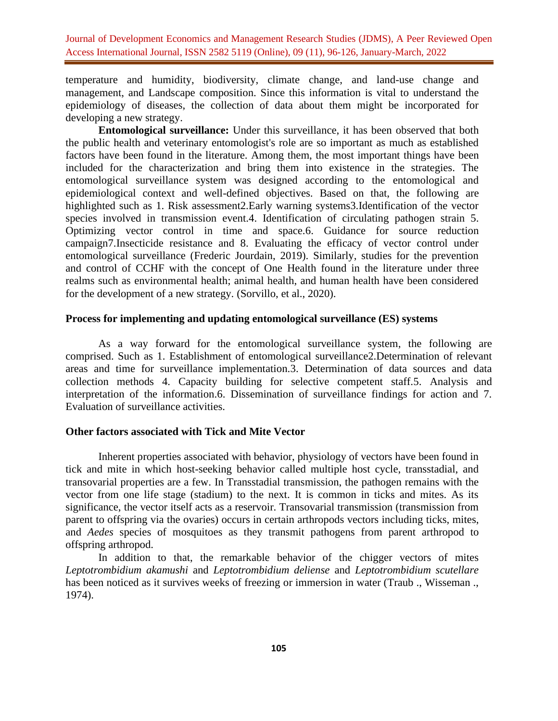temperature and humidity, biodiversity, climate change, and land-use change and management, and Landscape composition. Since this information is vital to understand the epidemiology of diseases, the collection of data about them might be incorporated for developing a new strategy.

**Entomological surveillance:** Under this surveillance, it has been observed that both the public health and veterinary entomologist's role are so important as much as established factors have been found in the literature. Among them, the most important things have been included for the characterization and bring them into existence in the strategies. The entomological surveillance system was designed according to the entomological and epidemiological context and well-defined objectives. Based on that, the following are highlighted such as 1. Risk assessment2.Early warning systems3.Identification of the vector species involved in transmission event.4. Identification of circulating pathogen strain 5. Optimizing vector control in time and space.6. Guidance for source reduction campaign7.Insecticide resistance and 8. Evaluating the efficacy of vector control under entomological surveillance (Frederic Jourdain, 2019). Similarly, studies for the prevention and control of CCHF with the concept of One Health found in the literature under three realms such as environmental health; animal health, and human health have been considered for the development of a new strategy. (Sorvillo, et al., 2020).

#### **Process for implementing and updating entomological surveillance (ES) systems**

As a way forward for the entomological surveillance system, the following are comprised. Such as 1. Establishment of entomological surveillance2.Determination of relevant areas and time for surveillance implementation.3. Determination of data sources and data collection methods 4. Capacity building for selective competent staff.5. Analysis and interpretation of the information.6. Dissemination of surveillance findings for action and 7. Evaluation of surveillance activities.

## **Other factors associated with Tick and Mite Vector**

Inherent properties associated with behavior, physiology of vectors have been found in tick and mite in which host-seeking behavior called multiple host cycle, transstadial, and transovarial properties are a few. In Transstadial transmission, the pathogen remains with the vector from one life stage (stadium) to the next. It is common in ticks and mites. As its significance, the vector itself acts as a reservoir. Transovarial transmission (transmission from parent to offspring via the ovaries) occurs in certain arthropods vectors including ticks, mites, and *Aedes* species of mosquitoes as they transmit pathogens from parent arthropod to offspring arthropod.

In addition to that, the remarkable behavior of the chigger vectors of mites *Leptotrombidium akamushi* and *Leptotrombidium deliense* and *Leptotrombidium scutellare* has been noticed as it survives weeks of freezing or immersion in water (Traub ., Wisseman ., 1974).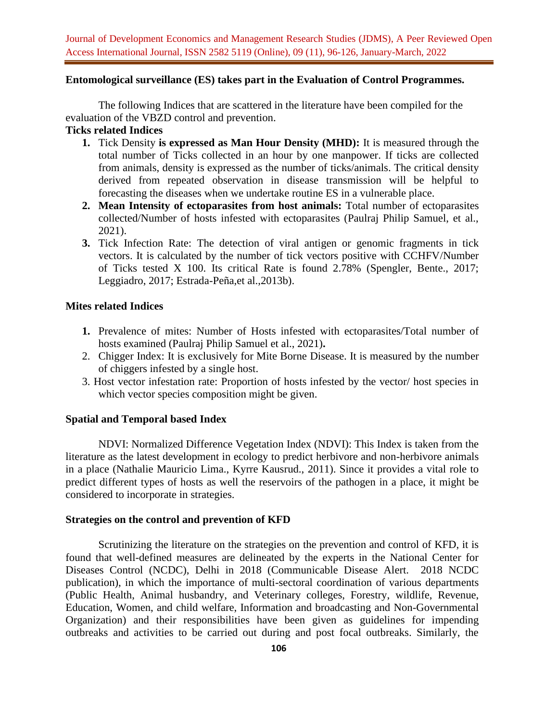#### **Entomological surveillance (ES) takes part in the Evaluation of Control Programmes.**

The following Indices that are scattered in the literature have been compiled for the evaluation of the VBZD control and prevention.

## **Ticks related Indices**

- **1.** Tick Density **is expressed as Man Hour Density (MHD):** It is measured through the total number of Ticks collected in an hour by one manpower. If ticks are collected from animals, density is expressed as the number of ticks/animals. The critical density derived from repeated observation in disease transmission will be helpful to forecasting the diseases when we undertake routine ES in a vulnerable place.
- **2. Mean Intensity of ectoparasites from host animals:** Total number of ectoparasites collected/Number of hosts infested with ectoparasites (Paulraj Philip Samuel, et al., 2021).
- **3.** Tick Infection Rate: The detection of viral antigen or genomic fragments in tick vectors. It is calculated by the number of tick vectors positive with CCHFV/Number of Ticks tested X 100. Its critical Rate is found 2.78% (Spengler, Bente., 2017; Leggiadro, 2017; Estrada-Peña,et al.,2013b).

## **Mites related Indices**

- **1.** Prevalence of mites: Number of Hosts infested with ectoparasites/Total number of hosts examined (Paulraj Philip Samuel et al., 2021)**.**
- 2. Chigger Index: It is exclusively for Mite Borne Disease. It is measured by the number of chiggers infested by a single host.
- 3. Host vector infestation rate: Proportion of hosts infested by the vector/ host species in which vector species composition might be given.

## **Spatial and Temporal based Index**

NDVI: Normalized Difference Vegetation Index (NDVI): This Index is taken from the literature as the latest development in ecology to predict herbivore and non-herbivore animals in a place (Nathalie Mauricio Lima., Kyrre Kausrud., 2011). Since it provides a vital role to predict different types of hosts as well the reservoirs of the pathogen in a place, it might be considered to incorporate in strategies.

#### **Strategies on the control and prevention of KFD**

Scrutinizing the literature on the strategies on the prevention and control of KFD, it is found that well-defined measures are delineated by the experts in the National Center for Diseases Control (NCDC), Delhi in 2018 (Communicable Disease Alert. 2018 NCDC publication), in which the importance of multi-sectoral coordination of various departments (Public Health, Animal husbandry, and Veterinary colleges, Forestry, wildlife, Revenue, Education, Women, and child welfare, Information and broadcasting and Non-Governmental Organization) and their responsibilities have been given as guidelines for impending outbreaks and activities to be carried out during and post focal outbreaks. Similarly, the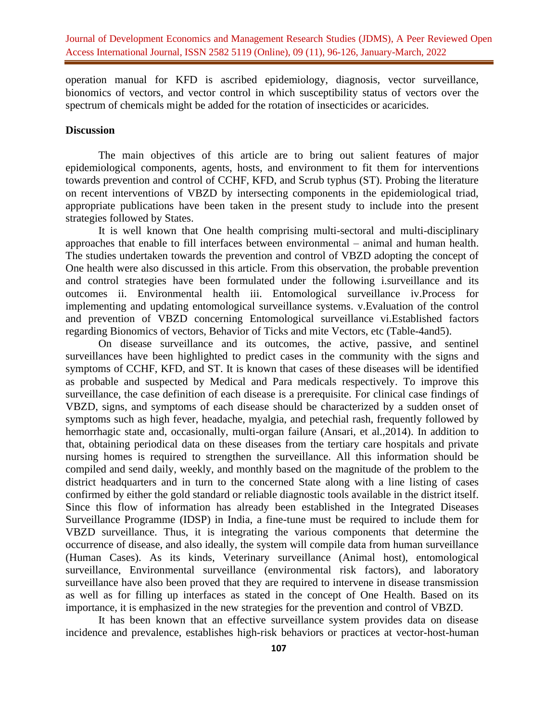operation manual for KFD is ascribed epidemiology, diagnosis, vector surveillance, bionomics of vectors, and vector control in which susceptibility status of vectors over the spectrum of chemicals might be added for the rotation of insecticides or acaricides.

## **Discussion**

The main objectives of this article are to bring out salient features of major epidemiological components, agents, hosts, and environment to fit them for interventions towards prevention and control of CCHF, KFD, and Scrub typhus (ST). Probing the literature on recent interventions of VBZD by intersecting components in the epidemiological triad, appropriate publications have been taken in the present study to include into the present strategies followed by States.

It is well known that One health comprising multi-sectoral and multi-disciplinary approaches that enable to fill interfaces between environmental – animal and human health. The studies undertaken towards the prevention and control of VBZD adopting the concept of One health were also discussed in this article. From this observation, the probable prevention and control strategies have been formulated under the following i.surveillance and its outcomes ii. Environmental health iii. Entomological surveillance iv.Process for implementing and updating entomological surveillance systems. v.Evaluation of the control and prevention of VBZD concerning Entomological surveillance vi.Established factors regarding Bionomics of vectors, Behavior of Ticks and mite Vectors, etc (Table-4and5).

On disease surveillance and its outcomes, the active, passive, and sentinel surveillances have been highlighted to predict cases in the community with the signs and symptoms of CCHF, KFD, and ST. It is known that cases of these diseases will be identified as probable and suspected by Medical and Para medicals respectively. To improve this surveillance, the case definition of each disease is a prerequisite. For clinical case findings of VBZD, signs, and symptoms of each disease should be characterized by a sudden onset of symptoms such as high fever, headache, myalgia, and petechial rash, frequently followed by hemorrhagic state and, occasionally, multi-organ failure (Ansari, et al.,2014). In addition to that, obtaining periodical data on these diseases from the tertiary care hospitals and private nursing homes is required to strengthen the surveillance. All this information should be compiled and send daily, weekly, and monthly based on the magnitude of the problem to the district headquarters and in turn to the concerned State along with a line listing of cases confirmed by either the gold standard or reliable diagnostic tools available in the district itself. Since this flow of information has already been established in the Integrated Diseases Surveillance Programme (IDSP) in India, a fine-tune must be required to include them for VBZD surveillance. Thus, it is integrating the various components that determine the occurrence of disease, and also ideally, the system will compile data from human surveillance (Human Cases). As its kinds, Veterinary surveillance (Animal host), entomological surveillance, Environmental surveillance (environmental risk factors), and laboratory surveillance have also been proved that they are required to intervene in disease transmission as well as for filling up interfaces as stated in the concept of One Health. Based on its importance, it is emphasized in the new strategies for the prevention and control of VBZD.

It has been known that an effective surveillance system provides data on disease incidence and prevalence, establishes high-risk behaviors or practices at vector-host-human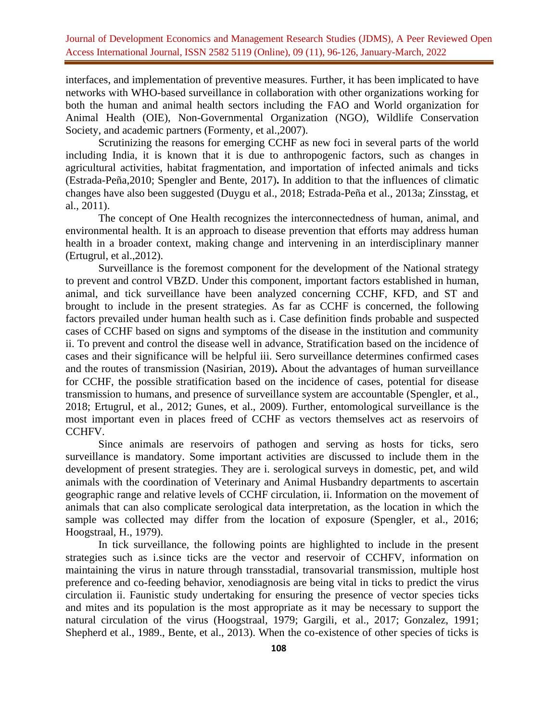interfaces, and implementation of preventive measures. Further, it has been implicated to have networks with WHO-based surveillance in collaboration with other organizations working for both the human and animal health sectors including the FAO and World organization for Animal Health (OIE), Non-Governmental Organization (NGO), Wildlife Conservation Society, and academic partners (Formenty, et al.,2007).

Scrutinizing the reasons for emerging CCHF as new foci in several parts of the world including India, it is known that it is due to anthropogenic factors, such as changes in agricultural activities, habitat fragmentation, and importation of infected animals and ticks (Estrada-Peña,2010; Spengler and Bente, 2017)**.** In addition to that the influences of climatic changes have also been suggested (Duygu et al., 2018; Estrada-Peña et al., 2013a; Zinsstag, et al., 2011).

The concept of One Health recognizes the interconnectedness of human, animal, and environmental health. It is an approach to disease prevention that efforts may address human health in a broader context, making change and intervening in an interdisciplinary manner (Ertugrul, et al.,2012).

Surveillance is the foremost component for the development of the National strategy to prevent and control VBZD. Under this component, important factors established in human, animal, and tick surveillance have been analyzed concerning CCHF, KFD, and ST and brought to include in the present strategies. As far as CCHF is concerned, the following factors prevailed under human health such as i. Case definition finds probable and suspected cases of CCHF based on signs and symptoms of the disease in the institution and community ii. To prevent and control the disease well in advance, Stratification based on the incidence of cases and their significance will be helpful iii. Sero surveillance determines confirmed cases and the routes of transmission (Nasirian, 2019)**.** About the advantages of human surveillance for CCHF, the possible stratification based on the incidence of cases, potential for disease transmission to humans, and presence of surveillance system are accountable (Spengler, et al., 2018; Ertugrul, et al., 2012; Gunes, et al., 2009). Further, entomological surveillance is the most important even in places freed of CCHF as vectors themselves act as reservoirs of CCHFV.

Since animals are reservoirs of pathogen and serving as hosts for ticks, sero surveillance is mandatory. Some important activities are discussed to include them in the development of present strategies. They are i. serological surveys in domestic, pet, and wild animals with the coordination of Veterinary and Animal Husbandry departments to ascertain geographic range and relative levels of CCHF circulation, ii. Information on the movement of animals that can also complicate serological data interpretation, as the location in which the sample was collected may differ from the location of exposure (Spengler, et al., 2016; Hoogstraal, H., 1979).

In tick surveillance, the following points are highlighted to include in the present strategies such as i.since ticks are the vector and reservoir of CCHFV, information on maintaining the virus in nature through transstadial, transovarial transmission, multiple host preference and co-feeding behavior, xenodiagnosis are being vital in ticks to predict the virus circulation ii. Faunistic study undertaking for ensuring the presence of vector species ticks and mites and its population is the most appropriate as it may be necessary to support the natural circulation of the virus (Hoogstraal, 1979; Gargili, et al., 2017; Gonzalez, 1991; Shepherd et al., 1989., Bente, et al., 2013). When the co-existence of other species of ticks is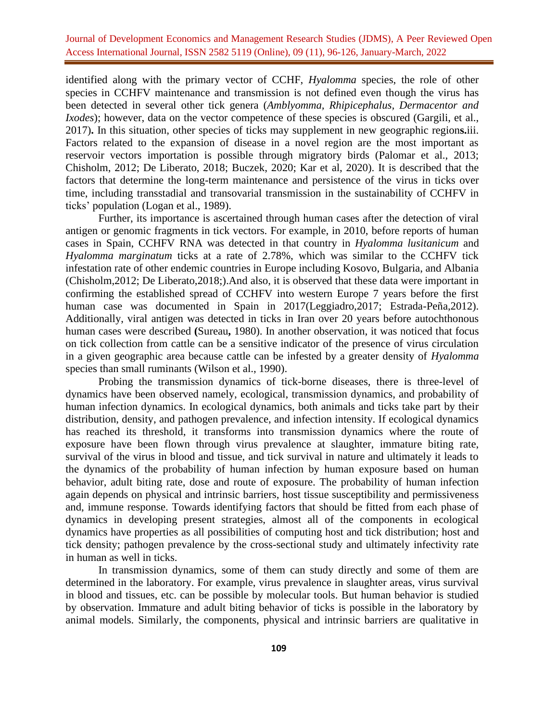identified along with the primary vector of CCHF, *Hyalomma* species, the role of other species in CCHFV maintenance and transmission is not defined even though the virus has been detected in several other tick genera (*Amblyomma, Rhipicephalus, Dermacentor and Ixodes*); however, data on the vector competence of these species is obscured (Gargili, et al., 2017)**.** In this situation, other species of ticks may supplement in new geographic region**s.**iii. Factors related to the expansion of disease in a novel region are the most important as reservoir vectors importation is possible through migratory birds (Palomar et al., 2013; Chisholm, 2012; De Liberato, 2018; Buczek, 2020; Kar et al, 2020). It is described that the factors that determine the long-term maintenance and persistence of the virus in ticks over time, including transstadial and transovarial transmission in the sustainability of CCHFV in ticks' population (Logan et al., 1989).

Further, its importance is ascertained through human cases after the detection of viral antigen or genomic fragments in tick vectors. For example, in 2010, before reports of human cases in Spain, CCHFV RNA was detected in that country in *Hyalomma lusitanicum* and *Hyalomma marginatum* ticks at a rate of 2.78%, which was similar to the CCHFV tick infestation rate of other endemic countries in Europe including Kosovo, Bulgaria, and Albania (Chisholm,2012; De Liberato,2018;).And also, it is observed that these data were important in confirming the established spread of CCHFV into western Europe 7 years before the first human case was documented in Spain in 2017(Leggiadro,2017; Estrada-Peña,2012). Additionally, viral antigen was detected in ticks in Iran over 20 years before autochthonous human cases were described **(**Sureau**,** 1980). In another observation, it was noticed that focus on tick collection from cattle can be a sensitive indicator of the presence of virus circulation in a given geographic area because cattle can be infested by a greater density of *Hyalomma* species than small ruminants (Wilson et al., 1990).

Probing the transmission dynamics of tick-borne diseases, there is three-level of dynamics have been observed namely, ecological, transmission dynamics, and probability of human infection dynamics. In ecological dynamics, both animals and ticks take part by their distribution, density, and pathogen prevalence, and infection intensity. If ecological dynamics has reached its threshold, it transforms into transmission dynamics where the route of exposure have been flown through virus prevalence at slaughter, immature biting rate, survival of the virus in blood and tissue, and tick survival in nature and ultimately it leads to the dynamics of the probability of human infection by human exposure based on human behavior, adult biting rate, dose and route of exposure. The probability of human infection again depends on physical and intrinsic barriers, host tissue susceptibility and permissiveness and, immune response. Towards identifying factors that should be fitted from each phase of dynamics in developing present strategies, almost all of the components in ecological dynamics have properties as all possibilities of computing host and tick distribution; host and tick density; pathogen prevalence by the cross-sectional study and ultimately infectivity rate in human as well in ticks.

In transmission dynamics, some of them can study directly and some of them are determined in the laboratory. For example, virus prevalence in slaughter areas, virus survival in blood and tissues, etc. can be possible by molecular tools. But human behavior is studied by observation. Immature and adult biting behavior of ticks is possible in the laboratory by animal models. Similarly, the components, physical and intrinsic barriers are qualitative in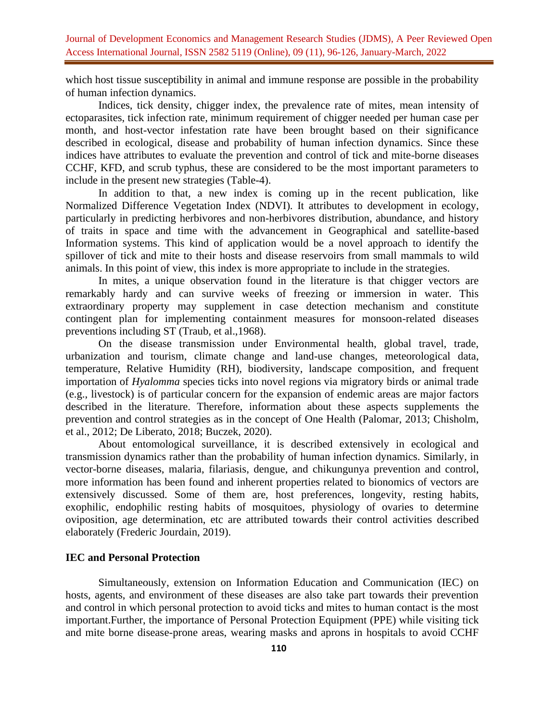which host tissue susceptibility in animal and immune response are possible in the probability of human infection dynamics.

Indices, tick density, chigger index, the prevalence rate of mites, mean intensity of ectoparasites, tick infection rate, minimum requirement of chigger needed per human case per month, and host-vector infestation rate have been brought based on their significance described in ecological, disease and probability of human infection dynamics. Since these indices have attributes to evaluate the prevention and control of tick and mite-borne diseases CCHF, KFD, and scrub typhus, these are considered to be the most important parameters to include in the present new strategies (Table-4).

In addition to that, a new index is coming up in the recent publication, like Normalized Difference Vegetation Index (NDVI). It attributes to development in ecology, particularly in predicting herbivores and non-herbivores distribution, abundance, and history of traits in space and time with the advancement in Geographical and satellite-based Information systems. This kind of application would be a novel approach to identify the spillover of tick and mite to their hosts and disease reservoirs from small mammals to wild animals. In this point of view, this index is more appropriate to include in the strategies.

In mites, a unique observation found in the literature is that chigger vectors are remarkably hardy and can survive weeks of freezing or immersion in water. This extraordinary property may supplement in case detection mechanism and constitute contingent plan for implementing containment measures for monsoon-related diseases preventions including ST (Traub, et al.,1968).

On the disease transmission under Environmental health, global travel, trade, urbanization and tourism, climate change and land-use changes, meteorological data, temperature, Relative Humidity (RH), biodiversity, landscape composition, and frequent importation of *Hyalomma* species ticks into novel regions via migratory birds or animal trade (e.g., livestock) is of particular concern for the expansion of endemic areas are major factors described in the literature. Therefore, information about these aspects supplements the prevention and control strategies as in the concept of One Health (Palomar, 2013; Chisholm, et al., 2012; De Liberato, 2018; Buczek, 2020).

About entomological surveillance, it is described extensively in ecological and transmission dynamics rather than the probability of human infection dynamics. Similarly, in vector-borne diseases, malaria, filariasis, dengue, and chikungunya prevention and control, more information has been found and inherent properties related to bionomics of vectors are extensively discussed. Some of them are, host preferences, longevity, resting habits, exophilic, endophilic resting habits of mosquitoes, physiology of ovaries to determine oviposition, age determination, etc are attributed towards their control activities described elaborately (Frederic Jourdain, 2019).

## **IEC and Personal Protection**

Simultaneously, extension on Information Education and Communication (IEC) on hosts, agents, and environment of these diseases are also take part towards their prevention and control in which personal protection to avoid ticks and mites to human contact is the most important.Further, the importance of Personal Protection Equipment (PPE) while visiting tick and mite borne disease-prone areas, wearing masks and aprons in hospitals to avoid CCHF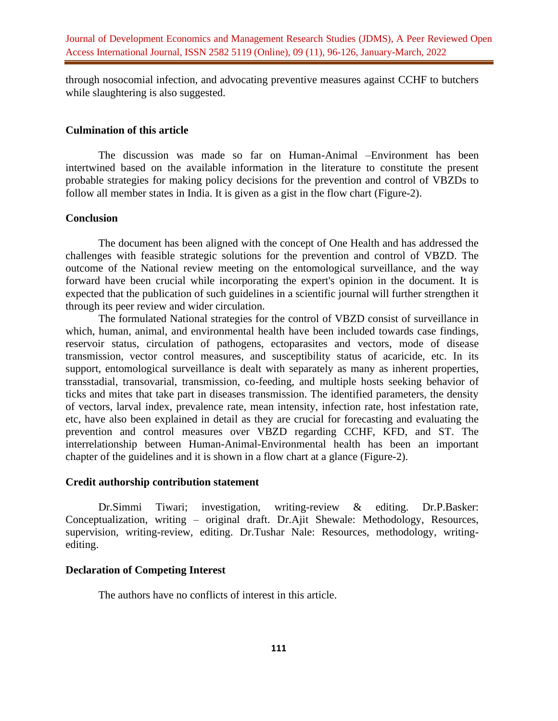through nosocomial infection, and advocating preventive measures against CCHF to butchers while slaughtering is also suggested.

#### **Culmination of this article**

The discussion was made so far on Human-Animal –Environment has been intertwined based on the available information in the literature to constitute the present probable strategies for making policy decisions for the prevention and control of VBZDs to follow all member states in India. It is given as a gist in the flow chart (Figure-2).

#### **Conclusion**

The document has been aligned with the concept of One Health and has addressed the challenges with feasible strategic solutions for the prevention and control of VBZD. The outcome of the National review meeting on the entomological surveillance, and the way forward have been crucial while incorporating the expert's opinion in the document. It is expected that the publication of such guidelines in a scientific journal will further strengthen it through its peer review and wider circulation.

The formulated National strategies for the control of VBZD consist of surveillance in which, human, animal, and environmental health have been included towards case findings, reservoir status, circulation of pathogens, ectoparasites and vectors, mode of disease transmission, vector control measures, and susceptibility status of acaricide, etc. In its support, entomological surveillance is dealt with separately as many as inherent properties, transstadial, transovarial, transmission, co-feeding, and multiple hosts seeking behavior of ticks and mites that take part in diseases transmission. The identified parameters, the density of vectors, larval index, prevalence rate, mean intensity, infection rate, host infestation rate, etc, have also been explained in detail as they are crucial for forecasting and evaluating the prevention and control measures over VBZD regarding CCHF, KFD, and ST. The interrelationship between Human-Animal-Environmental health has been an important chapter of the guidelines and it is shown in a flow chart at a glance (Figure-2).

#### **Credit authorship contribution statement**

Dr.Simmi Tiwari; investigation, writing-review & editing. Dr.P.Basker: Conceptualization, writing – original draft. Dr.Ajit Shewale: Methodology, Resources, supervision, writing-review, editing. Dr.Tushar Nale: Resources, methodology, writingediting.

## **Declaration of Competing Interest**

The authors have no conflicts of interest in this article.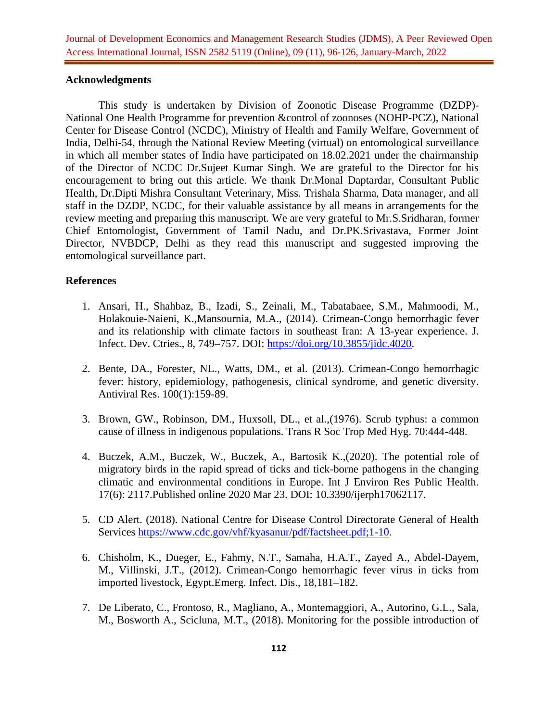## **Acknowledgments**

This study is undertaken by Division of Zoonotic Disease Programme (DZDP)- National One Health Programme for prevention &control of zoonoses (NOHP-PCZ), National Center for Disease Control (NCDC), Ministry of Health and Family Welfare, Government of India, Delhi-54, through the National Review Meeting (virtual) on entomological surveillance in which all member states of India have participated on 18.02.2021 under the chairmanship of the Director of NCDC Dr.Sujeet Kumar Singh. We are grateful to the Director for his encouragement to bring out this article. We thank Dr.Monal Daptardar, Consultant Public Health, Dr.Dipti Mishra Consultant Veterinary, Miss. Trishala Sharma, Data manager, and all staff in the DZDP, NCDC, for their valuable assistance by all means in arrangements for the review meeting and preparing this manuscript. We are very grateful to Mr.S.Sridharan, former Chief Entomologist, Government of Tamil Nadu, and Dr.PK.Srivastava, Former Joint Director, NVBDCP, Delhi as they read this manuscript and suggested improving the entomological surveillance part.

## **References**

- 1. Ansari, H., Shahbaz, B., Izadi, S., Zeinali, M., Tabatabaee, S.M., Mahmoodi, M., Holakouie-Naieni, K.,Mansournia, M.A., (2014). Crimean-Congo hemorrhagic fever and its relationship with climate factors in southeast Iran: A 13-year experience. J. Infect. Dev. Ctries., 8, 749–757. DOI: [https://doi.org/10.3855/jidc.4020.](https://doi.org/10.3855/jidc.4020)
- 2. Bente, DA., Forester, NL., Watts, DM., et al. (2013). Crimean-Congo hemorrhagic fever: history, epidemiology, pathogenesis, clinical syndrome, and genetic diversity. Antiviral Res. 100(1):159-89.
- 3. Brown, GW., Robinson, DM., Huxsoll, DL., et al.,(1976). Scrub typhus: a common cause of illness in indigenous populations. Trans R Soc Trop Med Hyg. 70:444-448.
- 4. Buczek, A.M., Buczek, W., Buczek, A., Bartosik K.,(2020). The potential role of migratory birds in the rapid spread of ticks and tick-borne pathogens in the changing climatic and environmental conditions in Europe. Int J Environ Res Public Health. 17(6): 2117.Published online 2020 Mar 23. DOI: 10.3390/ijerph17062117.
- 5. CD Alert. (2018). National Centre for Disease Control Directorate General of Health Services [https://www.cdc.gov/vhf/kyasanur/pdf/factsheet.pdf;1-10.](https://www.cdc.gov/vhf/kyasanur/pdf/factsheet.pdf;1-10)
- 6. Chisholm, K., Dueger, E., Fahmy, N.T., Samaha, H.A.T., Zayed A., Abdel-Dayem, M., Villinski, J.T., (2012). Crimean-Congo hemorrhagic fever virus in ticks from imported livestock, Egypt.Emerg. Infect. Dis., 18,181–182.
- 7. De Liberato, C., Frontoso, R., Magliano, A., Montemaggiori, A., Autorino, G.L., Sala, M., Bosworth A., Scicluna, M.T., (2018). Monitoring for the possible introduction of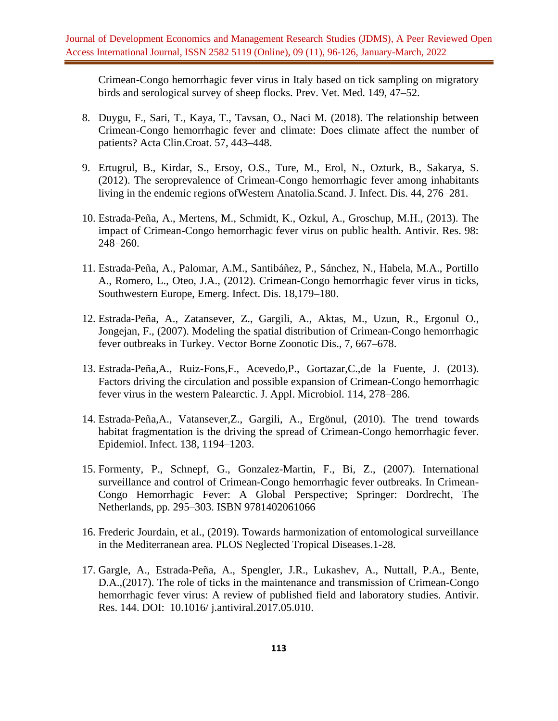Crimean-Congo hemorrhagic fever virus in Italy based on tick sampling on migratory birds and serological survey of sheep flocks. Prev. Vet. Med. 149, 47–52.

- 8. Duygu, F., Sari, T., Kaya, T., Tavsan, O., Naci M. (2018). The relationship between Crimean-Congo hemorrhagic fever and climate: Does climate affect the number of patients? Acta Clin.Croat. 57, 443–448.
- 9. Ertugrul, B., Kirdar, S., Ersoy, O.S., Ture, M., Erol, N., Ozturk, B., Sakarya, S. (2012). The seroprevalence of Crimean-Congo hemorrhagic fever among inhabitants living in the endemic regions ofWestern Anatolia.Scand. J. Infect. Dis. 44, 276–281.
- 10. Estrada-Peña, A., Mertens, M., Schmidt, K., Ozkul, A., Groschup, M.H., (2013). The impact of Crimean-Congo hemorrhagic fever virus on public health. Antivir. Res. 98: 248–260.
- 11. Estrada-Peña, A., Palomar, A.M., Santibáñez, P., Sánchez, N., Habela, M.A., Portillo A., Romero, L., Oteo, J.A., (2012). Crimean-Congo hemorrhagic fever virus in ticks, Southwestern Europe, Emerg. Infect. Dis. 18,179–180.
- 12. Estrada-Peña, A., Zatansever, Z., Gargili, A., Aktas, M., Uzun, R., Ergonul O., Jongejan, F., (2007). Modeling the spatial distribution of Crimean-Congo hemorrhagic fever outbreaks in Turkey. Vector Borne Zoonotic Dis., 7, 667–678.
- 13. Estrada-Peña,A., Ruiz-Fons,F., Acevedo,P., Gortazar,C.,de la Fuente, J. (2013). Factors driving the circulation and possible expansion of Crimean-Congo hemorrhagic fever virus in the western Palearctic. J. Appl. Microbiol. 114, 278–286.
- 14. Estrada-Peña,A., Vatansever,Z., Gargili, A., Ergönul, (2010). The trend towards habitat fragmentation is the driving the spread of Crimean-Congo hemorrhagic fever. Epidemiol. Infect. 138, 1194–1203.
- 15. Formenty, P., Schnepf, G., Gonzalez-Martin, F., Bi, Z., (2007). International surveillance and control of Crimean-Congo hemorrhagic fever outbreaks. In Crimean-Congo Hemorrhagic Fever: A Global Perspective; Springer: Dordrecht, The Netherlands, pp. 295–303. ISBN 9781402061066
- 16. Frederic Jourdain, et al., (2019). Towards harmonization of entomological surveillance in the Mediterranean area. PLOS Neglected Tropical Diseases.1-28.
- 17. Gargle, A., Estrada-Peña, A., Spengler, J.R., Lukashev, A., Nuttall, P.A., Bente, D.A.,(2017). The role of ticks in the maintenance and transmission of Crimean-Congo hemorrhagic fever virus: A review of published field and laboratory studies. Antivir. Res. 144. DOI: 10.1016/ j.antiviral.2017.05.010.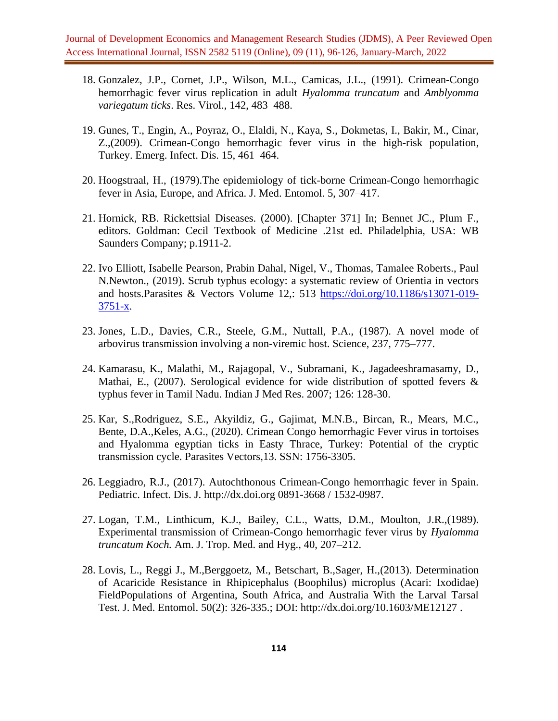- 18. Gonzalez, J.P., Cornet, J.P., Wilson, M.L., Camicas, J.L., (1991). Crimean-Congo hemorrhagic fever virus replication in adult *Hyalomma truncatum* and *Amblyomma variegatum ticks*. Res. Virol., 142, 483–488.
- 19. Gunes, T., Engin, A., Poyraz, O., Elaldi, N., Kaya, S., Dokmetas, I., Bakir, M., Cinar, Z.,(2009). Crimean-Congo hemorrhagic fever virus in the high-risk population, Turkey. Emerg. Infect. Dis. 15, 461–464.
- 20. Hoogstraal, H., (1979).The epidemiology of tick-borne Crimean-Congo hemorrhagic fever in Asia, Europe, and Africa. J. Med. Entomol. 5, 307–417.
- 21. Hornick, RB. Rickettsial Diseases. (2000). [Chapter 371] In; Bennet JC., Plum F., editors. Goldman: Cecil Textbook of Medicine .21st ed. Philadelphia, USA: WB Saunders Company; p.1911-2.
- 22. Ivo Elliott, Isabelle Pearson, Prabin Dahal, Nigel, V., Thomas, Tamalee Roberts., Paul N.Newton., (2019). Scrub typhus ecology: a systematic review of Orientia in vectors and hosts.Parasites & Vectors Volume 12,: 513 [https://doi.org/10.1186/s13071-019-](https://doi.org/10.1186/s13071-019-3751-x) [3751-x.](https://doi.org/10.1186/s13071-019-3751-x)
- 23. Jones, L.D., Davies, C.R., Steele, G.M., Nuttall, P.A., (1987). A novel mode of arbovirus transmission involving a non-viremic host. Science, 237, 775–777.
- 24. Kamarasu, K., Malathi, M., Rajagopal, V., Subramani, K., Jagadeeshramasamy, D., Mathai, E., (2007). Serological evidence for wide distribution of spotted fevers  $\&$ typhus fever in Tamil Nadu. Indian J Med Res. 2007; 126: 128-30.
- 25. Kar, S.,Rodriguez, S.E., Akyildiz, G., Gajimat, M.N.B., Bircan, R., Mears, M.C., Bente, D.A.,Keles, A.G., (2020). Crimean Congo hemorrhagic Fever virus in tortoises and Hyalomma egyptian ticks in Easty Thrace, Turkey: Potential of the cryptic transmission cycle. Parasites Vectors,13. SSN: 1756-3305.
- 26. Leggiadro, R.J., (2017). Autochthonous Crimean-Congo hemorrhagic fever in Spain. Pediatric. Infect. Dis. J. http://dx.doi.org 0891-3668 / 1532-0987.
- 27. Logan, T.M., Linthicum, K.J., Bailey, C.L., Watts, D.M., Moulton, J.R.,(1989). Experimental transmission of Crimean-Congo hemorrhagic fever virus by *Hyalomma truncatum Koch.* Am. J. Trop. Med. and Hyg., 40, 207–212.
- 28. Lovis, L., Reggi J., M.,Berggoetz, M., Betschart, B.,Sager, H.,(2013). Determination of Acaricide Resistance in Rhipicephalus (Boophilus) microplus (Acari: Ixodidae) FieldPopulations of Argentina, South Africa, and Australia With the Larval Tarsal Test. J. Med. Entomol. 50(2): 326-335.; DOI: http://dx.doi.org/10.1603/ME12127 .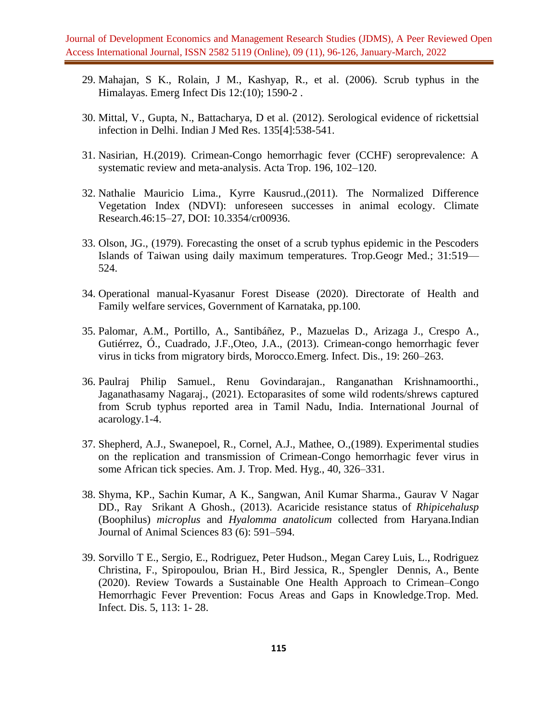- 29. Mahajan, S K., Rolain, J M., Kashyap, R., et al. (2006). Scrub typhus in the Himalayas. Emerg Infect Dis 12:(10); 1590-2 .
- 30. Mittal, V., Gupta, N., Battacharya, D et al. (2012). Serological evidence of rickettsial infection in Delhi. Indian J Med Res. 135[4]:538-541.
- 31. Nasirian, H.(2019). Crimean-Congo hemorrhagic fever (CCHF) seroprevalence: A systematic review and meta-analysis. Acta Trop. 196, 102–120.
- 32. Nathalie Mauricio Lima., Kyrre Kausrud.,(2011). The Normalized Difference Vegetation Index (NDVI): unforeseen successes in animal ecology. Climate Research.46:15–27, DOI: 10.3354/cr00936.
- 33. Olson, JG., (1979). Forecasting the onset of a scrub typhus epidemic in the Pescoders Islands of Taiwan using daily maximum temperatures. Trop.Geogr Med.; 31:519— 524.
- 34. Operational manual-Kyasanur Forest Disease (2020). Directorate of Health and Family welfare services, Government of Karnataka, pp.100.
- 35. Palomar, A.M., Portillo, A., Santibáñez, P., Mazuelas D., Arizaga J., Crespo A., Gutiérrez, Ó., Cuadrado, J.F.,Oteo, J.A., (2013). Crimean-congo hemorrhagic fever virus in ticks from migratory birds, Morocco.Emerg. Infect. Dis., 19: 260–263.
- 36. Paulraj Philip Samuel., Renu Govindarajan., Ranganathan Krishnamoorthi., Jaganathasamy Nagaraj., (2021). Ectoparasites of some wild rodents/shrews captured from Scrub typhus reported area in Tamil Nadu, India. International Journal of acarology.1-4.
- 37. Shepherd, A.J., Swanepoel, R., Cornel, A.J., Mathee, O.,(1989). Experimental studies on the replication and transmission of Crimean-Congo hemorrhagic fever virus in some African tick species. Am. J. Trop. Med. Hyg., 40, 326–331.
- 38. Shyma, KP., Sachin Kumar, A K., Sangwan, Anil Kumar Sharma., Gaurav V Nagar DD., Ray Srikant A Ghosh., (2013). Acaricide resistance status of *Rhipicehalusp* (Boophilus) *microplus* and *Hyalomma anatolicum* collected from Haryana.Indian Journal of Animal Sciences 83 (6): 591–594.
- 39. Sorvillo T E., Sergio, E., Rodriguez, Peter Hudson., Megan Carey Luis, L., Rodriguez Christina, F., Spiropoulou, Brian H., Bird Jessica, R., Spengler Dennis, A., Bente (2020). Review Towards a Sustainable One Health Approach to Crimean–Congo Hemorrhagic Fever Prevention: Focus Areas and Gaps in Knowledge.Trop. Med. Infect. Dis. 5, 113: 1- 28.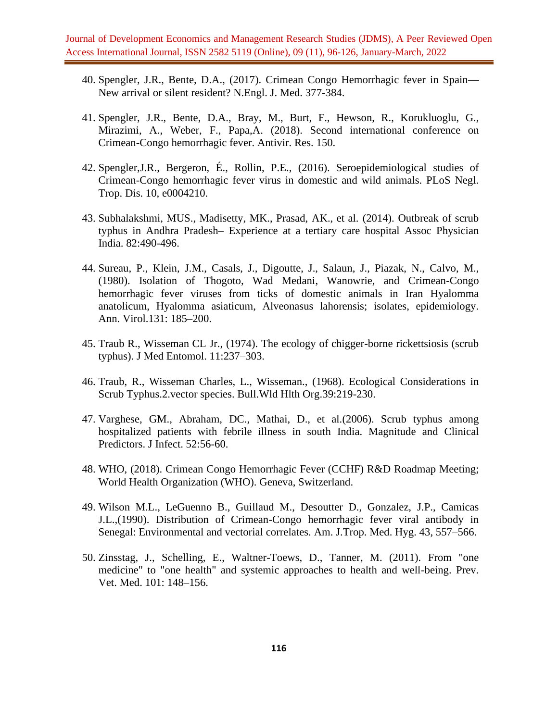- 40. Spengler, J.R., Bente, D.A., (2017). Crimean Congo Hemorrhagic fever in Spain— New arrival or silent resident? N.Engl. J. Med. 377-384.
- 41. Spengler, J.R., Bente, D.A., Bray, M., Burt, F., Hewson, R., Korukluoglu, G., Mirazimi, A., Weber, F., Papa,A. (2018). Second international conference on Crimean-Congo hemorrhagic fever. Antivir. Res. 150.
- 42. Spengler,J.R., Bergeron, É., Rollin, P.E., (2016). Seroepidemiological studies of Crimean-Congo hemorrhagic fever virus in domestic and wild animals. PLoS Negl. Trop. Dis. 10, e0004210.
- 43. Subhalakshmi, MUS., Madisetty, MK., Prasad, AK., et al. (2014). Outbreak of scrub typhus in Andhra Pradesh– Experience at a tertiary care hospital Assoc Physician India. 82:490-496.
- 44. Sureau, P., Klein, J.M., Casals, J., Digoutte, J., Salaun, J., Piazak, N., Calvo, M., (1980). Isolation of Thogoto, Wad Medani, Wanowrie, and Crimean-Congo hemorrhagic fever viruses from ticks of domestic animals in Iran Hyalomma anatolicum, Hyalomma asiaticum, Alveonasus lahorensis; isolates, epidemiology. Ann. Virol.131: 185–200.
- 45. Traub R., Wisseman CL Jr., (1974). The ecology of chigger-borne rickettsiosis (scrub typhus). J Med Entomol. 11:237–303.
- 46. Traub, R., Wisseman Charles, L., Wisseman., (1968). Ecological Considerations in Scrub Typhus.2.vector species. Bull.Wld Hlth Org.39:219-230.
- 47. Varghese, GM., Abraham, DC., Mathai, D., et al.(2006). Scrub typhus among hospitalized patients with febrile illness in south India. Magnitude and Clinical Predictors. J Infect. 52:56-60.
- 48. WHO, (2018). Crimean Congo Hemorrhagic Fever (CCHF) R&D Roadmap Meeting; World Health Organization (WHO). Geneva, Switzerland.
- 49. Wilson M.L., LeGuenno B., Guillaud M., Desoutter D., Gonzalez, J.P., Camicas J.L.,(1990). Distribution of Crimean-Congo hemorrhagic fever viral antibody in Senegal: Environmental and vectorial correlates. Am. J.Trop. Med. Hyg. 43, 557–566.
- 50. Zinsstag, J., Schelling, E., Waltner-Toews, D., Tanner, M. (2011). From "one medicine" to "one health" and systemic approaches to health and well-being. Prev. Vet. Med. 101: 148–156.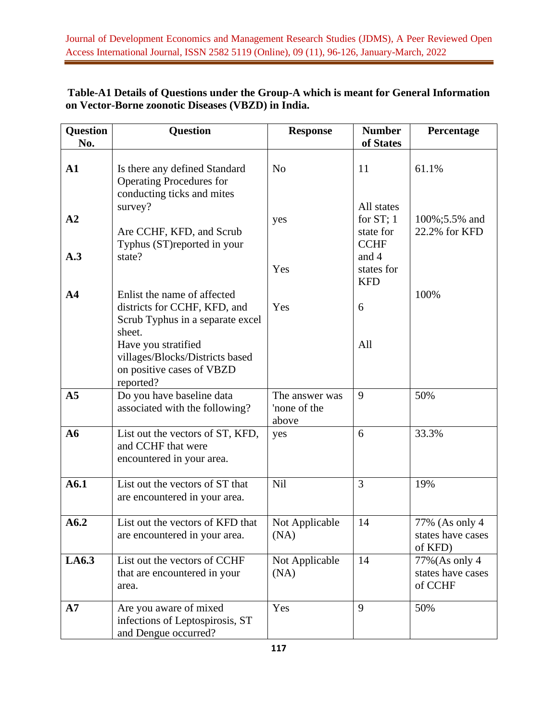| Question<br>No. | <b>Question</b>                                                                                           | <b>Response</b>                         | <b>Number</b><br>of States                             | Percentage                                     |
|-----------------|-----------------------------------------------------------------------------------------------------------|-----------------------------------------|--------------------------------------------------------|------------------------------------------------|
|                 |                                                                                                           |                                         |                                                        |                                                |
| $\mathbf{A1}$   | Is there any defined Standard<br><b>Operating Procedures for</b><br>conducting ticks and mites            | N <sub>o</sub>                          | 11                                                     | 61.1%                                          |
| A2              | survey?<br>Are CCHF, KFD, and Scrub<br>Typhus (ST)reported in your                                        | yes                                     | All states<br>for $ST$ ; 1<br>state for<br><b>CCHF</b> | 100%;5.5% and<br>22.2% for KFD                 |
| A.3             | state?                                                                                                    | Yes                                     | and 4<br>states for<br><b>KFD</b>                      |                                                |
| A <sub>4</sub>  | Enlist the name of affected<br>districts for CCHF, KFD, and<br>Scrub Typhus in a separate excel<br>sheet. | Yes                                     | 6                                                      | 100%                                           |
|                 | Have you stratified<br>villages/Blocks/Districts based<br>on positive cases of VBZD<br>reported?          |                                         | All                                                    |                                                |
| A <sub>5</sub>  | Do you have baseline data<br>associated with the following?                                               | The answer was<br>'none of the<br>above | 9                                                      | 50%                                            |
| A6              | List out the vectors of ST, KFD,<br>and CCHF that were<br>encountered in your area.                       | yes                                     | 6                                                      | 33.3%                                          |
| A6.1            | List out the vectors of ST that<br>are encountered in your area.                                          | Nil                                     | 3                                                      | 19%                                            |
| A6.2            | List out the vectors of KFD that<br>are encountered in your area.                                         | Not Applicable<br>(NA)                  | 14                                                     | 77% (As only 4<br>states have cases<br>of KFD) |
| LA6.3           | List out the vectors of CCHF<br>that are encountered in your<br>area.                                     | Not Applicable<br>(NA)                  | 14                                                     | 77% (As only 4<br>states have cases<br>of CCHF |
| A7              | Are you aware of mixed<br>infections of Leptospirosis, ST<br>and Dengue occurred?                         | Yes                                     | 9                                                      | 50%                                            |

# **Table-A1 Details of Questions under the Group-A which is meant for General Information on Vector-Borne zoonotic Diseases (VBZD) in India.**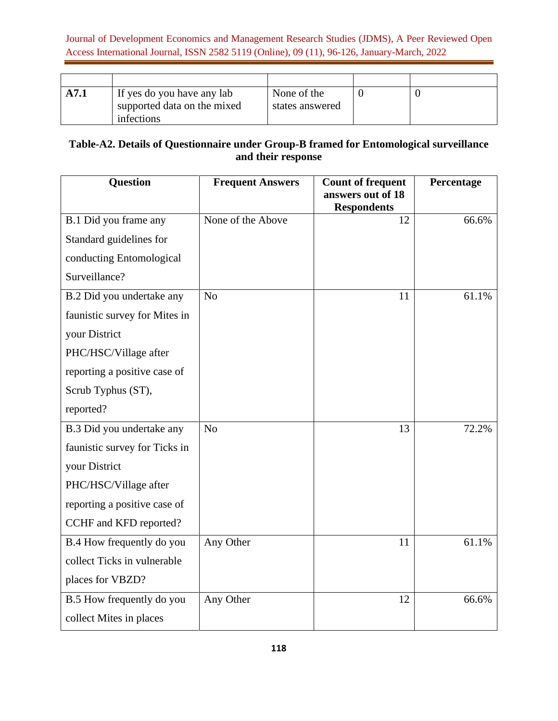| A7.1 | If yes do you have any lab<br>supported data on the mixed | None of the<br>states answered |  |
|------|-----------------------------------------------------------|--------------------------------|--|
|      | infections                                                |                                |  |

# **Table-A2. Details of Questionnaire under Group-B framed for Entomological surveillance and their response**

| Question                      | <b>Frequent Answers</b> | <b>Count of frequent</b><br>answers out of 18<br><b>Respondents</b> | Percentage |
|-------------------------------|-------------------------|---------------------------------------------------------------------|------------|
| B.1 Did you frame any         | None of the Above       | 12                                                                  | 66.6%      |
| Standard guidelines for       |                         |                                                                     |            |
| conducting Entomological      |                         |                                                                     |            |
| Surveillance?                 |                         |                                                                     |            |
| B.2 Did you undertake any     | N <sub>o</sub>          | 11                                                                  | 61.1%      |
| faunistic survey for Mites in |                         |                                                                     |            |
| your District                 |                         |                                                                     |            |
| PHC/HSC/Village after         |                         |                                                                     |            |
| reporting a positive case of  |                         |                                                                     |            |
| Scrub Typhus (ST),            |                         |                                                                     |            |
| reported?                     |                         |                                                                     |            |
| B.3 Did you undertake any     | No                      | 13                                                                  | 72.2%      |
| faunistic survey for Ticks in |                         |                                                                     |            |
| your District                 |                         |                                                                     |            |
| PHC/HSC/Village after         |                         |                                                                     |            |
| reporting a positive case of  |                         |                                                                     |            |
| CCHF and KFD reported?        |                         |                                                                     |            |
| B.4 How frequently do you     | Any Other               | 11                                                                  | 61.1%      |
| collect Ticks in vulnerable   |                         |                                                                     |            |
| places for VBZD?              |                         |                                                                     |            |
| B.5 How frequently do you     | Any Other               | 12                                                                  | 66.6%      |
| collect Mites in places       |                         |                                                                     |            |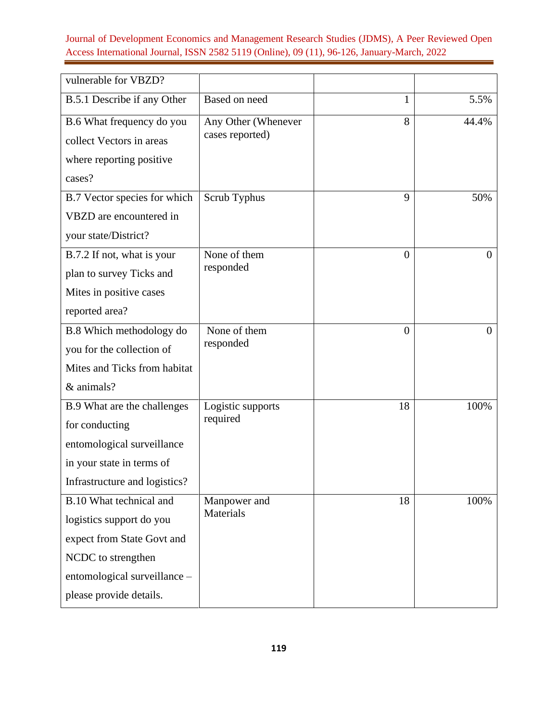| vulnerable for VBZD?          |                     |                |          |
|-------------------------------|---------------------|----------------|----------|
| B.5.1 Describe if any Other   | Based on need       | 1              | 5.5%     |
| B.6 What frequency do you     | Any Other (Whenever | 8              | 44.4%    |
| collect Vectors in areas      | cases reported)     |                |          |
| where reporting positive      |                     |                |          |
| cases?                        |                     |                |          |
| B.7 Vector species for which  | Scrub Typhus        | 9              | 50%      |
| VBZD are encountered in       |                     |                |          |
| your state/District?          |                     |                |          |
| B.7.2 If not, what is your    | None of them        | $\overline{0}$ | $\Omega$ |
| plan to survey Ticks and      | responded           |                |          |
| Mites in positive cases       |                     |                |          |
| reported area?                |                     |                |          |
| B.8 Which methodology do      | None of them        | $\overline{0}$ | $\Omega$ |
| you for the collection of     | responded           |                |          |
| Mites and Ticks from habitat  |                     |                |          |
| & animals?                    |                     |                |          |
| B.9 What are the challenges   | Logistic supports   | 18             | 100%     |
| for conducting                | required            |                |          |
| entomological surveillance    |                     |                |          |
| in your state in terms of     |                     |                |          |
| Infrastructure and logistics? |                     |                |          |
| B.10 What technical and       | Manpower and        | 18             | 100%     |
| logistics support do you      | Materials           |                |          |
| expect from State Govt and    |                     |                |          |
| NCDC to strengthen            |                     |                |          |
| entomological surveillance -  |                     |                |          |
| please provide details.       |                     |                |          |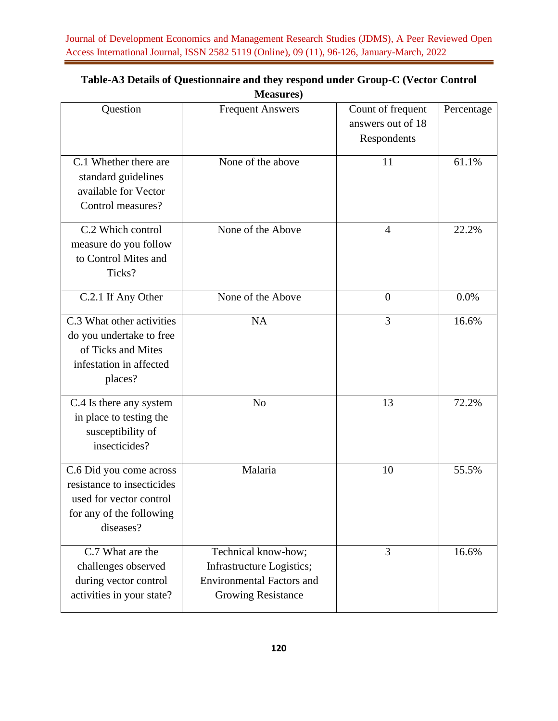|                                                                                                                           | $n$ $\alpha$ $\alpha$ $\alpha$ $\beta$                                                                            |                                                       |            |
|---------------------------------------------------------------------------------------------------------------------------|-------------------------------------------------------------------------------------------------------------------|-------------------------------------------------------|------------|
| Question                                                                                                                  | <b>Frequent Answers</b>                                                                                           | Count of frequent<br>answers out of 18<br>Respondents | Percentage |
| C.1 Whether there are<br>standard guidelines<br>available for Vector<br>Control measures?                                 | None of the above                                                                                                 | 11                                                    | 61.1%      |
| C.2 Which control<br>measure do you follow<br>to Control Mites and<br>Ticks?                                              | None of the Above                                                                                                 | $\overline{4}$                                        | 22.2%      |
| C.2.1 If Any Other                                                                                                        | None of the Above                                                                                                 | $\overline{0}$                                        | 0.0%       |
| C.3 What other activities<br>do you undertake to free<br>of Ticks and Mites<br>infestation in affected<br>places?         | <b>NA</b>                                                                                                         | 3                                                     | 16.6%      |
| C.4 Is there any system<br>in place to testing the<br>susceptibility of<br>insecticides?                                  | N <sub>o</sub>                                                                                                    | 13                                                    | 72.2%      |
| C.6 Did you come across<br>resistance to insecticides<br>used for vector control<br>for any of the following<br>diseases? | Malaria                                                                                                           | 10                                                    | 55.5%      |
| C.7 What are the<br>challenges observed<br>during vector control<br>activities in your state?                             | Technical know-how;<br>Infrastructure Logistics;<br><b>Environmental Factors and</b><br><b>Growing Resistance</b> | 3                                                     | 16.6%      |

## **Table-A3 Details of Questionnaire and they respond under Group-C (Vector Control Measures)**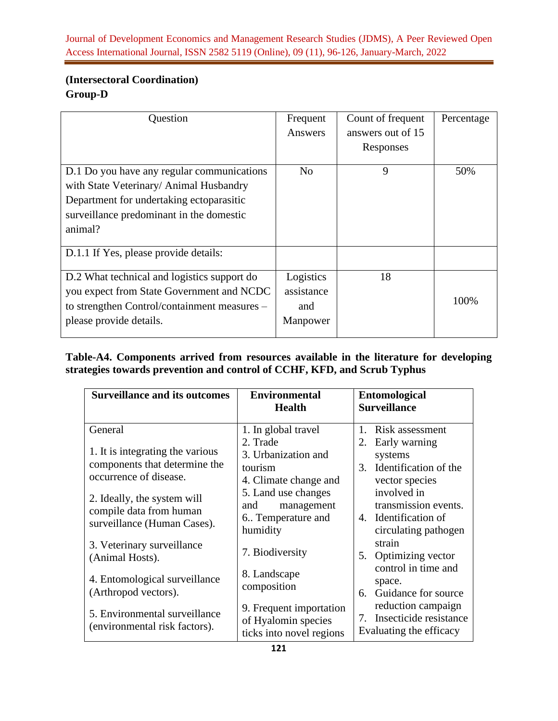# **(Intersectoral Coordination) Group-D**

| Question                                                                                                                                                                                 | Frequent<br>Answers                        | Count of frequent<br>answers out of 15<br>Responses | Percentage |
|------------------------------------------------------------------------------------------------------------------------------------------------------------------------------------------|--------------------------------------------|-----------------------------------------------------|------------|
| D.1 Do you have any regular communications<br>with State Veterinary/ Animal Husbandry<br>Department for undertaking ectoparasitic<br>surveillance predominant in the domestic<br>animal? | N <sub>0</sub>                             | 9                                                   | 50%        |
| D.1.1 If Yes, please provide details:                                                                                                                                                    |                                            |                                                     |            |
| D.2 What technical and logistics support do<br>you expect from State Government and NCDC<br>to strengthen Control/containment measures –<br>please provide details.                      | Logistics<br>assistance<br>and<br>Manpower | 18                                                  | 100%       |

**Table-A4. Components arrived from resources available in the literature for developing strategies towards prevention and control of CCHF, KFD, and Scrub Typhus** 

| <b>Surveillance and its outcomes</b>                                                   | <b>Environmental</b><br><b>Health</b>                                                     | <b>Entomological</b><br><b>Surveillance</b>                                                             |
|----------------------------------------------------------------------------------------|-------------------------------------------------------------------------------------------|---------------------------------------------------------------------------------------------------------|
| General<br>1. It is integrating the various<br>components that determine the           | 1. In global travel<br>2. Trade<br>3. Urbanization and<br>tourism                         | $1_{-}$<br>Risk assessment<br>Early warning<br>2.<br>systems<br>Identification of the<br>3.             |
| occurrence of disease.<br>2. Ideally, the system will                                  | 4. Climate change and<br>5. Land use changes<br>management<br>and                         | vector species<br>involved in<br>transmission events.                                                   |
| compile data from human<br>surveillance (Human Cases).<br>3. Veterinary surveillance   | 6. Temperature and<br>humidity                                                            | 4. Identification of<br>circulating pathogen<br>strain                                                  |
| (Animal Hosts).<br>4. Entomological surveillance                                       | 7. Biodiversity<br>8. Landscape                                                           | Optimizing vector<br>5.<br>control in time and<br>space.                                                |
| (Arthropod vectors).<br>5. Environmental surveillance<br>(environmental risk factors). | composition<br>9. Frequent importation<br>of Hyalomin species<br>ticks into novel regions | Guidance for source<br>6.<br>reduction campaign<br>7. Insecticide resistance<br>Evaluating the efficacy |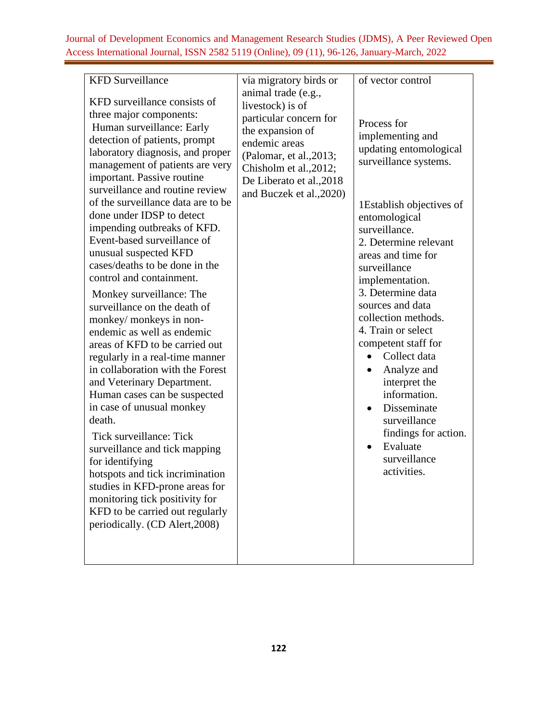| <b>KFD</b> Surveillance<br>KFD surveillance consists of<br>three major components:<br>Human surveillance: Early<br>detection of patients, prompt<br>laboratory diagnosis, and proper<br>management of patients are very<br>important. Passive routine<br>surveillance and routine review<br>of the surveillance data are to be<br>done under IDSP to detect<br>impending outbreaks of KFD.<br>Event-based surveillance of<br>unusual suspected KFD<br>cases/deaths to be done in the<br>control and containment.<br>Monkey surveillance: The<br>surveillance on the death of<br>monkey/ monkeys in non-<br>endemic as well as endemic<br>areas of KFD to be carried out<br>regularly in a real-time manner<br>in collaboration with the Forest<br>and Veterinary Department.<br>Human cases can be suspected<br>in case of unusual monkey<br>death.<br>Tick surveillance: Tick<br>surveillance and tick mapping<br>for identifying<br>hotspots and tick incrimination<br>studies in KFD-prone areas for<br>monitoring tick positivity for<br>KFD to be carried out regularly<br>periodically. (CD Alert, 2008) | via migratory birds or<br>animal trade (e.g.,<br>livestock) is of<br>particular concern for<br>the expansion of<br>endemic areas<br>(Palomar, et al., 2013;<br>Chisholm et al., 2012;<br>De Liberato et al., 2018<br>and Buczek et al., 2020) | of vector control<br>Process for<br>implementing and<br>updating entomological<br>surveillance systems.<br>1 Establish objectives of<br>entomological<br>surveillance.<br>2. Determine relevant<br>areas and time for<br>surveillance<br>implementation.<br>3. Determine data<br>sources and data<br>collection methods.<br>4. Train or select<br>competent staff for<br>Collect data<br>$\bullet$<br>Analyze and<br>interpret the<br>information.<br>Disseminate<br>surveillance<br>findings for action.<br>Evaluate<br>surveillance<br>activities. |
|----------------------------------------------------------------------------------------------------------------------------------------------------------------------------------------------------------------------------------------------------------------------------------------------------------------------------------------------------------------------------------------------------------------------------------------------------------------------------------------------------------------------------------------------------------------------------------------------------------------------------------------------------------------------------------------------------------------------------------------------------------------------------------------------------------------------------------------------------------------------------------------------------------------------------------------------------------------------------------------------------------------------------------------------------------------------------------------------------------------|-----------------------------------------------------------------------------------------------------------------------------------------------------------------------------------------------------------------------------------------------|------------------------------------------------------------------------------------------------------------------------------------------------------------------------------------------------------------------------------------------------------------------------------------------------------------------------------------------------------------------------------------------------------------------------------------------------------------------------------------------------------------------------------------------------------|
|----------------------------------------------------------------------------------------------------------------------------------------------------------------------------------------------------------------------------------------------------------------------------------------------------------------------------------------------------------------------------------------------------------------------------------------------------------------------------------------------------------------------------------------------------------------------------------------------------------------------------------------------------------------------------------------------------------------------------------------------------------------------------------------------------------------------------------------------------------------------------------------------------------------------------------------------------------------------------------------------------------------------------------------------------------------------------------------------------------------|-----------------------------------------------------------------------------------------------------------------------------------------------------------------------------------------------------------------------------------------------|------------------------------------------------------------------------------------------------------------------------------------------------------------------------------------------------------------------------------------------------------------------------------------------------------------------------------------------------------------------------------------------------------------------------------------------------------------------------------------------------------------------------------------------------------|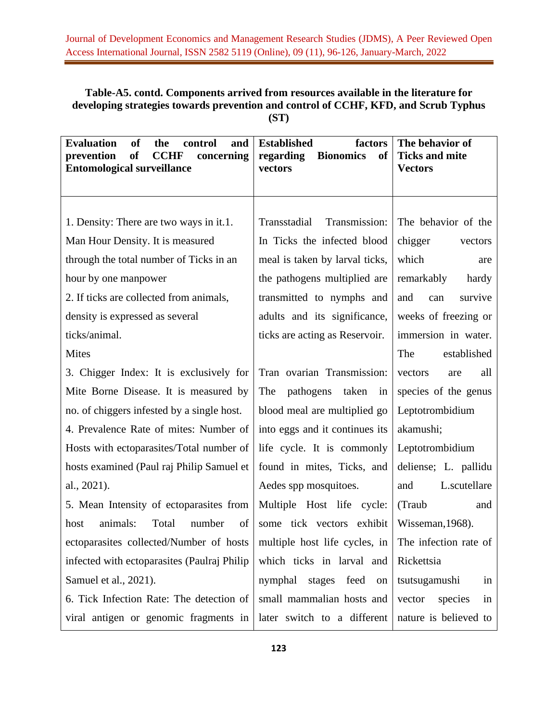# **Table-A5. contd. Components arrived from resources available in the literature for developing strategies towards prevention and control of CCHF, KFD, and Scrub Typhus (ST)**

| <b>Evaluation</b><br><b>of</b><br>and<br>the<br>control<br>of<br><b>CCHF</b><br>prevention<br>concerning<br><b>Entomological surveillance</b> | <b>Established</b><br>factors<br>of<br>regarding<br><b>Bionomics</b><br>vectors | The behavior of<br><b>Ticks and mite</b><br><b>Vectors</b> |
|-----------------------------------------------------------------------------------------------------------------------------------------------|---------------------------------------------------------------------------------|------------------------------------------------------------|
|                                                                                                                                               |                                                                                 |                                                            |
| 1. Density: There are two ways in it.1.                                                                                                       | Transstadial<br>Transmission:                                                   | The behavior of the                                        |
| Man Hour Density. It is measured                                                                                                              | In Ticks the infected blood                                                     | chigger<br>vectors                                         |
| through the total number of Ticks in an                                                                                                       | meal is taken by larval ticks,                                                  | which<br>are                                               |
| hour by one manpower                                                                                                                          | the pathogens multiplied are                                                    | remarkably<br>hardy                                        |
| 2. If ticks are collected from animals,                                                                                                       | transmitted to nymphs and                                                       | and<br>survive<br>can                                      |
| density is expressed as several                                                                                                               | adults and its significance,                                                    | weeks of freezing or                                       |
| ticks/animal.                                                                                                                                 | ticks are acting as Reservoir.                                                  | immersion in water.                                        |
| <b>Mites</b>                                                                                                                                  |                                                                                 | established<br>The                                         |
| 3. Chigger Index: It is exclusively for                                                                                                       | Tran ovarian Transmission:                                                      | vectors<br>all<br>are                                      |
| Mite Borne Disease. It is measured by                                                                                                         | The<br>pathogens<br>taken<br>in                                                 | species of the genus                                       |
| no. of chiggers infested by a single host.                                                                                                    | blood meal are multiplied go                                                    | Leptotrombidium                                            |
| 4. Prevalence Rate of mites: Number of                                                                                                        | into eggs and it continues its                                                  | akamushi;                                                  |
| Hosts with ectoparasites/Total number of                                                                                                      | life cycle. It is commonly                                                      | Leptotrombidium                                            |
| hosts examined (Paul raj Philip Samuel et                                                                                                     | found in mites, Ticks, and                                                      | deliense; L. pallidu                                       |
| al., 2021).                                                                                                                                   | Aedes spp mosquitoes.                                                           | L.scutellare<br>and                                        |
| 5. Mean Intensity of ectoparasites from                                                                                                       | Multiple Host life cycle:                                                       | (Traub<br>and                                              |
| animals:<br>Total<br>number<br>of<br>host                                                                                                     | some tick vectors exhibit                                                       | Wisseman, 1968).                                           |
| ectoparasites collected/Number of hosts   multiple host life cycles, in   The infection rate of                                               |                                                                                 |                                                            |
| infected with ectoparasites (Paulraj Philip                                                                                                   | which ticks in larval and                                                       | Rickettsia                                                 |
| Samuel et al., 2021).                                                                                                                         | nymphal<br>stages<br>feed on                                                    | tsutsugamushi<br>in                                        |
| 6. Tick Infection Rate: The detection of                                                                                                      | small mammalian hosts and                                                       | vector<br>species<br>in                                    |
| viral antigen or genomic fragments in                                                                                                         | later switch to a different                                                     | nature is believed to                                      |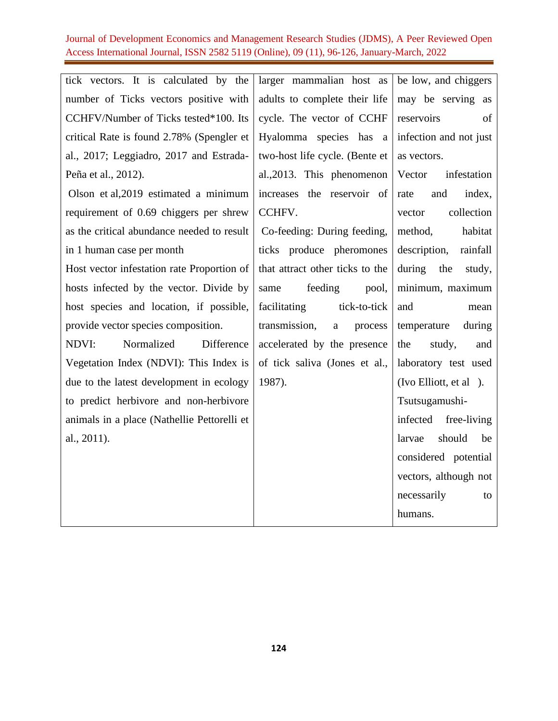| tick vectors. It is calculated by the       | larger mammalian host as                 | be low, and chiggers     |
|---------------------------------------------|------------------------------------------|--------------------------|
| number of Ticks vectors positive with       | adults to complete their life            | may be serving as        |
| CCHFV/Number of Ticks tested*100. Its       | cycle. The vector of CCHF                | reservoirs<br>of         |
| critical Rate is found 2.78% (Spengler et   | Hyalomma species has a                   | infection and not just   |
| al., 2017; Leggiadro, 2017 and Estrada-     | two-host life cycle. (Bente et           | as vectors.              |
| Peña et al., 2012).                         | al., 2013. This phenomenon               | Vector<br>infestation    |
| Olson et al, 2019 estimated a minimum       | increases the reservoir of               | index,<br>and<br>rate    |
| requirement of 0.69 chiggers per shrew      | CCHFV.                                   | collection<br>vector     |
| as the critical abundance needed to result  | Co-feeding: During feeding,              | habitat<br>method,       |
| in 1 human case per month                   | ticks produce pheromones                 | description,<br>rainfall |
| Host vector infestation rate Proportion of  | that attract other ticks to the          | during the<br>study,     |
| hosts infected by the vector. Divide by     | feeding<br>same<br>pool,                 | minimum, maximum         |
| host species and location, if possible,     | facilitating<br>tick-to-tick             | and<br>mean              |
| provide vector species composition.         | transmission,<br>$\mathbf{a}$<br>process | temperature<br>during    |
| Difference<br>Normalized<br>NDVI:           | accelerated by the presence              | the<br>study,<br>and     |
| Vegetation Index (NDVI): This Index is      | of tick saliva (Jones et al.,            | laboratory test used     |
| due to the latest development in ecology    | 1987).                                   | (Ivo Elliott, et al).    |
| to predict herbivore and non-herbivore      |                                          | Tsutsugamushi-           |
| animals in a place (Nathellie Pettorelli et |                                          | infected free-living     |
| al., 2011).                                 |                                          | should<br>larvae<br>be   |
|                                             |                                          | considered potential     |
|                                             |                                          | vectors, although not    |
|                                             |                                          | necessarily<br>to        |
|                                             |                                          | humans.                  |
|                                             |                                          |                          |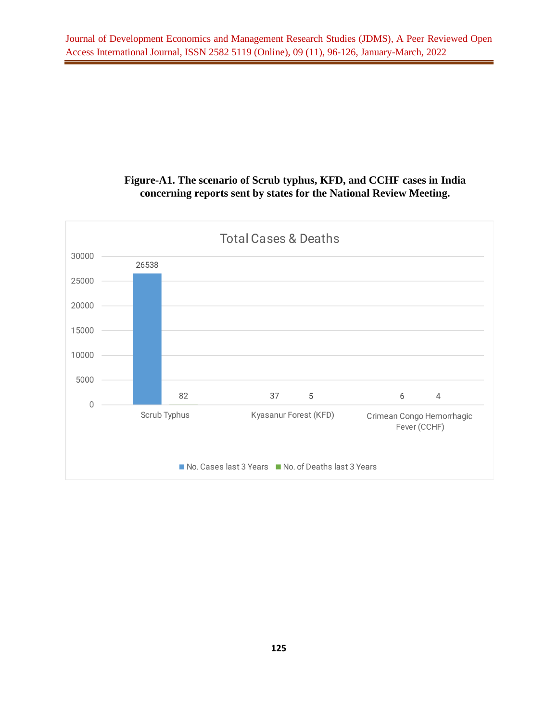# **Figure-A1. The scenario of Scrub typhus, KFD, and CCHF cases in India concerning reports sent by states for the National Review Meeting.**